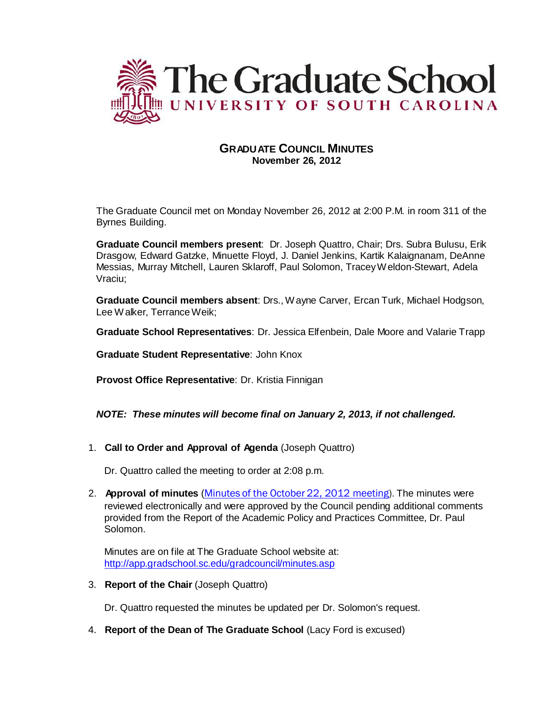

# **GRADUATE COUNCIL MINUTES November 26, 2012**

The Graduate Council met on Monday November 26, 2012 at 2:00 P.M. in room 311 of the Byrnes Building.

**Graduate Council members present**: Dr. Joseph Quattro, Chair; Drs. Subra Bulusu, Erik Drasgow, Edward Gatzke, Minuette Floyd, J. Daniel Jenkins, Kartik Kalaignanam, DeAnne Messias, Murray Mitchell, Lauren Sklaroff, Paul Solomon, TraceyWeldon-Stewart, Adela Vraciu;

**Graduate Council members absent**: Drs., Wayne Carver, Ercan Turk, Michael Hodgson, Lee Walker, TerranceWeik;

**Graduate School Representatives**: Dr. Jessica Elfenbein, Dale Moore and Valarie Trapp

**Graduate Student Representative**: John Knox

**Provost Office Representative**: Dr. Kristia Finnigan

# *NOTE: These minutes will become final on January 2, 2013, if not challenged.*

1. **Call to Order and Approval of Agenda** (Joseph Quattro)

Dr. Quattro called the meeting to order at 2:08 p.m.

2. **Approval of minutes** (Minutes of the October 22, 2012 [meeting\)](http://gradschool.sc.edu/facstaff/gradcouncil/2012/GCMinutes%2010%2022%2012%20updated%2020121126.pdf). The minutes were reviewed electronically and were approved by the Council pending additional comments provided from the Report of the Academic Policy and Practices Committee, Dr. Paul Solomon.

Minutes are on file at The Graduate School website at: <http://app.gradschool.sc.edu/gradcouncil/minutes.asp>

3. **Report of the Chair** (Joseph Quattro)

Dr. Quattro requested the minutes be updated per Dr. Solomon's request.

4. **Report of the Dean of The Graduate School** (Lacy Ford is excused)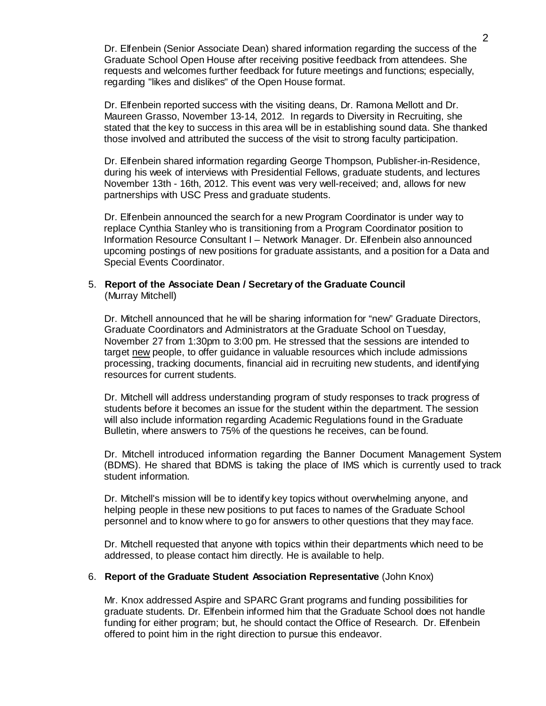Dr. Elfenbein (Senior Associate Dean) shared information regarding the success of the Graduate School Open House after receiving positive feedback from attendees. She requests and welcomes further feedback for future meetings and functions; especially, regarding "likes and dislikes" of the Open House format.

Dr. Elfenbein reported success with the visiting deans, Dr. Ramona Mellott and Dr. Maureen Grasso, November 13-14, 2012. In regards to Diversity in Recruiting, she stated that the key to success in this area will be in establishing sound data. She thanked those involved and attributed the success of the visit to strong faculty participation.

Dr. Elfenbein shared information regarding George Thompson, Publisher-in-Residence, during his week of interviews with Presidential Fellows, graduate students, and lectures November 13th - 16th, 2012. This event was very well-received; and, allows for new partnerships with USC Press and graduate students.

Dr. Elfenbein announced the search for a new Program Coordinator is under way to replace Cynthia Stanley who is transitioning from a Program Coordinator position to Information Resource Consultant I – Network Manager. Dr. Elfenbein also announced upcoming postings of new positions for graduate assistants, and a position for a Data and Special Events Coordinator.

# 5. **Report of the Associate Dean / Secretary of the Graduate Council** (Murray Mitchell)

Dr. Mitchell announced that he will be sharing information for "new" Graduate Directors, Graduate Coordinators and Administrators at the Graduate School on Tuesday, November 27 from 1:30pm to 3:00 pm. He stressed that the sessions are intended to target new people, to offer guidance in valuable resources which include admissions processing, tracking documents, financial aid in recruiting new students, and identifying resources for current students.

Dr. Mitchell will address understanding program of study responses to track progress of students before it becomes an issue for the student within the department. The session will also include information regarding Academic Regulations found in the Graduate Bulletin, where answers to 75% of the questions he receives, can be found.

Dr. Mitchell introduced information regarding the Banner Document Management System (BDMS). He shared that BDMS is taking the place of IMS which is currently used to track student information.

Dr. Mitchell's mission will be to identify key topics without overwhelming anyone, and helping people in these new positions to put faces to names of the Graduate School personnel and to know where to go for answers to other questions that they may face.

Dr. Mitchell requested that anyone with topics within their departments which need to be addressed, to please contact him directly. He is available to help.

# 6. **Report of the Graduate Student Association Representative** (John Knox)

Mr. Knox addressed Aspire and SPARC Grant programs and funding possibilities for graduate students. Dr. Elfenbein informed him that the Graduate School does not handle funding for either program; but, he should contact the Office of Research. Dr. Elfenbein offered to point him in the right direction to pursue this endeavor.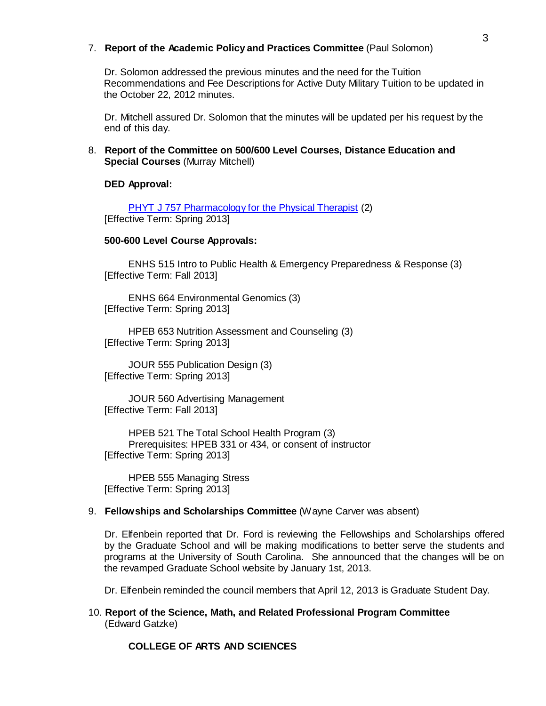# 7. **Report of the Academic Policy and Practices Committee** (Paul Solomon)

Dr. Solomon addressed the previous minutes and the need for the Tuition Recommendations and Fee Descriptions for Active Duty Military Tuition to be updated in the October 22, 2012 minutes.

Dr. Mitchell assured Dr. Solomon that the minutes will be updated per his request by the end of this day.

# 8. **Report of the Committee on 500/600 Level Courses, Distance Education and Special Courses** (Murray Mitchell)

### **DED Approval:**

PHYT J 757 [Pharmacology](http://gradschool.sc.edu/facstaff/gradcouncil/2012/PHYT%20757%20Topics%20in%20Physical%20Therapy%20Pharmacology%20and%20Prosthetics%20CCP%20DED%2020121113_Redacted.pdf) for the Physical Therapist (2) [Effective Term: Spring 2013]

## **500-600 Level Course Approvals:**

ENHS 515 Intro to Public Health & Emergency Preparedness & Response (3) [Effective Term: Fall 2013]

ENHS 664 Environmental Genomics (3) [Effective Term: Spring 2013]

HPEB 653 Nutrition Assessment and Counseling (3) [Effective Term: Spring 2013]

JOUR 555 Publication Design (3) [Effective Term: Spring 2013]

JOUR 560 Advertising Management [Effective Term: Fall 2013]

HPEB 521 The Total School Health Program (3) Prerequisites: HPEB 331 or 434, or consent of instructor [Effective Term: Spring 2013]

HPEB 555 Managing Stress [Effective Term: Spring 2013]

### 9. **Fellowships and Scholarships Committee** (Wayne Carver was absent)

Dr. Elfenbein reported that Dr. Ford is reviewing the Fellowships and Scholarships offered by the Graduate School and will be making modifications to better serve the students and programs at the University of South Carolina. She announced that the changes will be on the revamped Graduate School website by January 1st, 2013.

Dr. Elfenbein reminded the council members that April 12, 2013 is Graduate Student Day.

10. **Report of the Science, Math, and Related Professional Program Committee** (Edward Gatzke)

# **COLLEGE OF ARTS AND SCIENCES**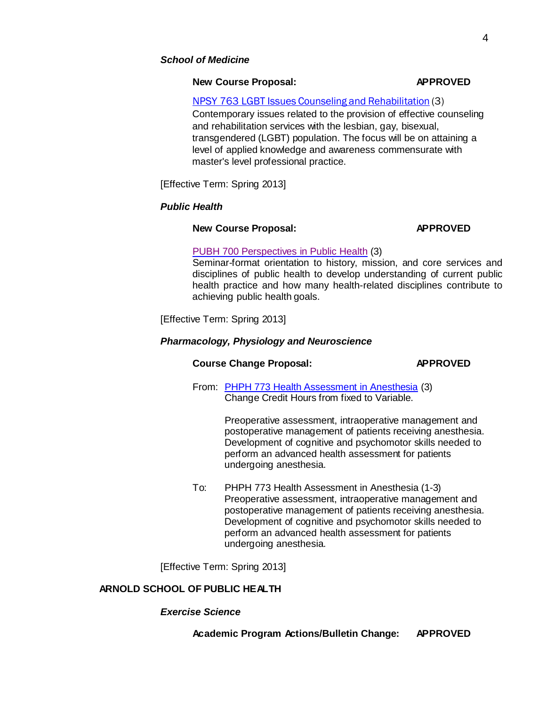# **New Course Proposal: APPROVED**

# NPSY 763 LGBT Issues Counseling and [Rehabilitation](http://gradschool.sc.edu/facstaff/gradcouncil/2012/NPSY%20763%20LGBT%20Issues%20Counslng%20%26%20Rehab%20NCP%20DED%2020121114_Redacted.pdf) (3)

Contemporary issues related to the provision of effective counseling and rehabilitation services with the lesbian, gay, bisexual, transgendered (LGBT) population. The focus will be on attaining a level of applied knowledge and awareness commensurate with master's level professional practice.

[Effective Term: Spring 2013]

# *Public Health*

# **New Course Proposal: APPROVED**

# PUBH 700 [Perspectives](http://gradschool.sc.edu/facstaff/gradcouncil/2012/PUBH%20700%20Perspectives%20in%20Public%20Health%20NCP_Redacted.pdf) in Public Health (3)

Seminar-format orientation to history, mission, and core services and disciplines of public health to develop understanding of current public health practice and how many health-related disciplines contribute to achieving public health goals.

[Effective Term: Spring 2013]

# *Pharmacology, Physiology and Neuroscience*

# **Course Change Proposal: APPROVED**

From: PHPH 773 Health [Assessment](http://gradschool.sc.edu/facstaff/gradcouncil/2012/PHPH773%20CCP%20Health%20Assessment%20in%20Anesthesia%2018Oct2012.pdf) in Anesthesia (3) Change Credit Hours from fixed to Variable.

> Preoperative assessment, intraoperative management and postoperative management of patients receiving anesthesia. Development of cognitive and psychomotor skills needed to perform an advanced health assessment for patients undergoing anesthesia.

To: PHPH 773 Health Assessment in Anesthesia (1-3) Preoperative assessment, intraoperative management and postoperative management of patients receiving anesthesia. Development of cognitive and psychomotor skills needed to perform an advanced health assessment for patients undergoing anesthesia.

[Effective Term: Spring 2013]

# **ARNOLD SCHOOL OF PUBLIC HEALTH**

# *Exercise Science*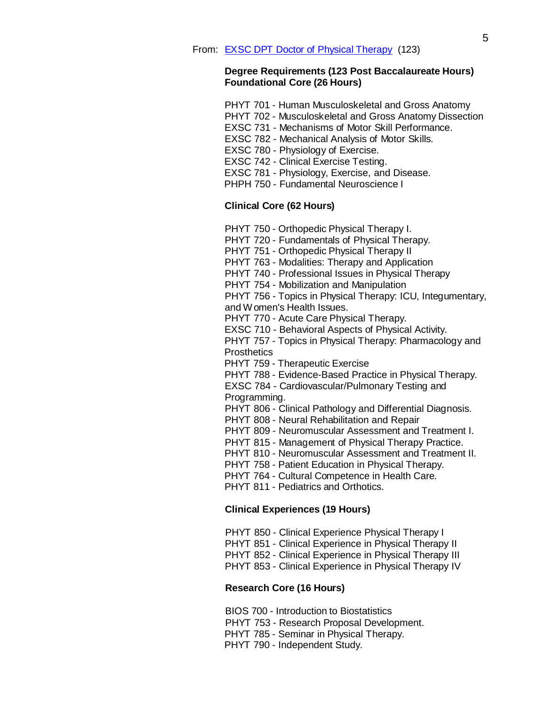# **Degree Requirements (123 Post Baccalaureate Hours) Foundational Core (26 Hours)**

| PHYT 701 - Human Musculoskeletal and Gross Anatomy |  |
|----------------------------------------------------|--|
|----------------------------------------------------|--|

- PHYT 702 [Musculoskeletal and](http://bulletin.sc.edu/preview_course_nopop.php?catoid=35&amp%3Bamp%3Bamp%3Bcoid=78992) Gross Anatomy Dissectio[n](http://bulletin.sc.edu/preview_course_nopop.php?catoid=35&amp%3Bamp%3Bamp%3Bcoid=78992)
- EXSC 731 Mechanisms of Motor Skill [Performance.](http://bulletin.sc.edu/preview_course_nopop.php?catoid=35&amp%3Bamp%3Bamp%3Bcoid=73685)
- EXSC 782 [Mechanical](http://bulletin.sc.edu/preview_course_nopop.php?catoid=35&amp%3Bamp%3Bamp%3Bcoid=73696) Analysis of Motor Skills.
- EXSC 780 [Physiology](http://bulletin.sc.edu/preview_course_nopop.php?catoid=35&amp%3Bamp%3Bamp%3Bcoid=73694) of Exercise.
- [EXSC 742](http://bulletin.sc.edu/preview_course_nopop.php?catoid=35&amp%3Bamp%3Bamp%3Bcoid=73686) Clinical Exercise Testing.
- EXSC 781 [Physiology,](http://bulletin.sc.edu/preview_course_nopop.php?catoid=35&amp%3Bamp%3Bamp%3Bcoid=73695) Exercise, and Disease[.](http://bulletin.sc.edu/preview_course_nopop.php?catoid=35&amp%3Bamp%3Bamp%3Bcoid=73695)
- PHPH 750 [Fundamental Neuroscience](http://bulletin.sc.edu/preview_course_nopop.php?catoid=35&amp%3Bamp%3Bamp%3Bcoid=76637) I

# **Clinical Core (62 Hours)**

- PHYT 750 Orthopedic [Physical Therapy](http://bulletin.sc.edu/preview_course_nopop.php?catoid=35&amp%3Bamp%3Bamp%3Bcoid=76862) [I.](http://bulletin.sc.edu/preview_course_nopop.php?catoid=35&amp%3Bamp%3Bamp%3Bcoid=76862)
- PHYT 720 [Fundamentals](http://bulletin.sc.edu/preview_course_nopop.php?catoid=35&amp%3Bamp%3Bamp%3Bcoid=76860) of Physical Therapy.
- PHYT 751 Orthopedic [Physical Therapy](http://bulletin.sc.edu/preview_course_nopop.php?catoid=35&amp%3Bamp%3Bamp%3Bcoid=76863) [II](http://bulletin.sc.edu/preview_course_nopop.php?catoid=35&amp%3Bamp%3Bamp%3Bcoid=76863)
- PHYT 763 Modalities: Therapy and [Application](http://bulletin.sc.edu/preview_course_nopop.php?catoid=35&amp%3Bamp%3Bamp%3Bcoid=76870)
- PHYT 740 [Professional Issues](http://bulletin.sc.edu/preview_course_nopop.php?catoid=35&amp%3Bamp%3Bamp%3Bcoid=76861) in Physical Therapy
- PHYT 754 Mobilization and [Manipulation](http://bulletin.sc.edu/preview_course_nopop.php?catoid=35&amp%3Bamp%3Bamp%3Bcoid=76865)
- PHYT 756 Topics in [Physical Therapy:](http://bulletin.sc.edu/preview_course_nopop.php?catoid=35&amp%3Bamp%3Bamp%3Bcoid=76866) ICU, Integumentary[,](http://bulletin.sc.edu/preview_course_nopop.php?catoid=35&amp%3Bamp%3Bamp%3Bcoid=76866)
- and [Women's](http://bulletin.sc.edu/preview_course_nopop.php?catoid=35&amp%3Bamp%3Bamp%3Bcoid=76866) Health Issues.
- PHYT 770 Acute Care [Physical Therapy.](http://bulletin.sc.edu/preview_course_nopop.php?catoid=35&amp%3Bamp%3Bamp%3Bcoid=76872)
- EXSC 710 Behavioral Aspects of [Physical Activity.](http://bulletin.sc.edu/preview_course_nopop.php?catoid=35&amp%3Bamp%3Bamp%3Bcoid=73684)
- PHYT 757 Topics in [Physical Therapy:](http://bulletin.sc.edu/preview_course_nopop.php?catoid=35&amp%3Bamp%3Bamp%3Bcoid=76867) Pharmacology and **[Prosthetics](http://bulletin.sc.edu/preview_course_nopop.php?catoid=35&amp%3Bamp%3Bamp%3Bcoid=76867)**
- PHYT 759 [Therapeutic](http://bulletin.sc.edu/preview_course_nopop.php?catoid=35&amp%3Bamp%3Bamp%3Bcoid=76869) Exercise
- PHYT 788 [Evidence-Based](http://bulletin.sc.edu/preview_course_nopop.php?catoid=35&amp%3Bamp%3Bamp%3Bcoid=76875) Practice in Physical Therapy[.](http://bulletin.sc.edu/preview_course_nopop.php?catoid=35&amp%3Bamp%3Bamp%3Bcoid=76875)

EXSC 784 - [Cardiovascular/Pulmonary](http://bulletin.sc.edu/preview_course_nopop.php?catoid=35&amp%3Bamp%3Bamp%3Bcoid=73698) Testing an[d](http://bulletin.sc.edu/preview_course_nopop.php?catoid=35&amp%3Bamp%3Bamp%3Bcoid=73698) [Programming.](http://bulletin.sc.edu/preview_course_nopop.php?catoid=35&amp%3Bamp%3Bamp%3Bcoid=73698)

- PHYT 806 Clinical Pathology and [Differential](http://bulletin.sc.edu/preview_course_nopop.php?catoid=35&amp%3Bamp%3Bamp%3Bcoid=76877) Diagnosi[s.](http://bulletin.sc.edu/preview_course_nopop.php?catoid=35&amp%3Bamp%3Bamp%3Bcoid=76877)
- PHYT 808 Neural [Rehabilitation](http://bulletin.sc.edu/preview_course_nopop.php?catoid=35&amp%3Bamp%3Bamp%3Bcoid=76878) and Repair
- PHYT 809 [Neuromuscular](http://bulletin.sc.edu/preview_course_nopop.php?catoid=35&amp%3Bamp%3Bamp%3Bcoid=76879) Assessment and Treatment I.
- PHYT 815 [Management](http://bulletin.sc.edu/preview_course_nopop.php?catoid=35&amp%3Bamp%3Bamp%3Bcoid=76882) of Physical Therapy Practice.
- PHYT 810 [Neuromuscular](http://bulletin.sc.edu/preview_course_nopop.php?catoid=35&amp%3Bamp%3Bamp%3Bcoid=76880) Assessment and Treatment II.
- PHYT 758 Patient [Education](http://bulletin.sc.edu/preview_course_nopop.php?catoid=35&amp%3Bamp%3Bamp%3Bcoid=76868) in Physical Therapy.
- PHYT 764 Cultural [Competence](http://bulletin.sc.edu/preview_course_nopop.php?catoid=35&amp%3Bamp%3Bamp%3Bcoid=76871) in Health Care.
- PHYT 811 [Pediatrics](http://bulletin.sc.edu/preview_course_nopop.php?catoid=35&amp%3Bamp%3Bamp%3Bcoid=76881) and Orthotics.

# **Clinical Experiences (19 Hours)**

PHYT 850 - Clinical [Experience](http://bulletin.sc.edu/preview_course_nopop.php?catoid=35&amp%3Bamp%3Bamp%3Bcoid=76883) Physical Therapy I PHYT 851 - Clinical [Experience](http://bulletin.sc.edu/preview_course_nopop.php?catoid=35&amp%3Bamp%3Bamp%3Bcoid=76884) in Physical Therapy [II](http://bulletin.sc.edu/preview_course_nopop.php?catoid=35&amp%3Bamp%3Bamp%3Bcoid=76884)  PHYT 852 - Clinical [Experience](http://bulletin.sc.edu/preview_course_nopop.php?catoid=35&amp%3Bamp%3Bamp%3Bcoid=76885) in Physical Therapy I[II](http://bulletin.sc.edu/preview_course_nopop.php?catoid=35&amp%3Bamp%3Bamp%3Bcoid=76885) 

PHYT 853 - Clinical [Experience](http://bulletin.sc.edu/preview_course_nopop.php?catoid=35&amp%3Bamp%3Bamp%3Bcoid=76886) in Physical Therapy IV

### **Research Core (16 Hours)**

BIOS 700 - Introduction to [Biostatistics](http://bulletin.sc.edu/preview_course_nopop.php?catoid=35&amp%3Bamp%3Bamp%3Bcoid=78993) PHYT 753 - Research [Proposal Development.](http://bulletin.sc.edu/preview_course_nopop.php?catoid=35&amp%3Bamp%3Bamp%3Bcoid=76864)  PHYT 785 - Seminar in [Physical Therapy.](http://bulletin.sc.edu/preview_course_nopop.php?catoid=35&amp%3Bamp%3Bamp%3Bcoid=76873)  PHYT 790 - [Independent Study.](http://bulletin.sc.edu/preview_course_nopop.php?catoid=35&amp%3Bamp%3Bamp%3Bcoid=76876)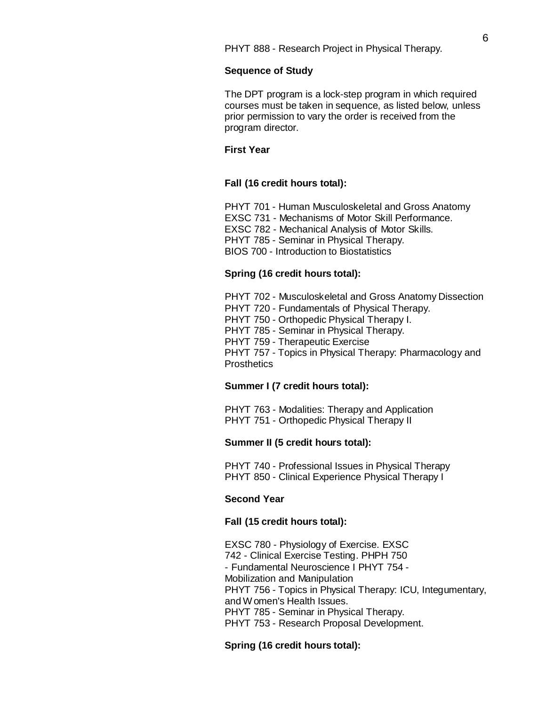PHYT 888 - [Research](http://bulletin.sc.edu/preview_course_nopop.php?catoid=35&amp%3Bamp%3Bamp%3Bcoid=76887) Project in Physical Therapy.

#### **Sequence of Study**

The DPT program is a lock-step program in which required courses must be taken in sequence, as listed below, unless prior permission to vary the order is received from the program director.

## **First Year**

#### **Fall (16 credit hours total):**

PHYT 701 - Human [Musculoskeletal](http://bulletin.sc.edu/preview_course_nopop.php?catoid=35&amp%3Bamp%3Bamp%3Bcoid=78991) and Gross Anatom[y](http://bulletin.sc.edu/preview_course_nopop.php?catoid=35&amp%3Bamp%3Bamp%3Bcoid=78991) EXSC 731 - Mechanisms of Motor Skill [Performance.](http://bulletin.sc.edu/preview_course_nopop.php?catoid=35&amp%3Bamp%3Bamp%3Bcoid=73685) EXSC 782 - [Mechanical](http://bulletin.sc.edu/preview_course_nopop.php?catoid=35&amp%3Bamp%3Bamp%3Bcoid=73696) Analysis of Motor Skills. PHYT 785 - Seminar in [Physical Therapy.](http://bulletin.sc.edu/preview_course_nopop.php?catoid=35&amp%3Bamp%3Bamp%3Bcoid=76873) BIOS 700 - Introduction to [Biostatistics](http://bulletin.sc.edu/preview_course_nopop.php?catoid=35&amp%3Bamp%3Bamp%3Bcoid=78993)

#### **Spring (16 credit hours total):**

PHYT 702 - [Musculoskeletal and](http://bulletin.sc.edu/preview_course_nopop.php?catoid=35&amp%3Bamp%3Bamp%3Bcoid=78992) Gross Anatomy Dissection PHYT 720 - [Fundamentals](http://bulletin.sc.edu/preview_course_nopop.php?catoid=35&amp%3Bamp%3Bamp%3Bcoid=76860) of Physical Therapy. PHYT 750 - Orthopedic [Physical Therapy](http://bulletin.sc.edu/preview_course_nopop.php?catoid=35&amp%3Bamp%3Bamp%3Bcoid=76862) [I.](http://bulletin.sc.edu/preview_course_nopop.php?catoid=35&amp%3Bamp%3Bamp%3Bcoid=76862)  PHYT 785 - Seminar in [Physical Therapy.](http://bulletin.sc.edu/preview_course_nopop.php?catoid=35&amp%3Bamp%3Bamp%3Bcoid=76873) PHYT 759 - [Therapeutic](http://bulletin.sc.edu/preview_course_nopop.php?catoid=35&amp%3Bamp%3Bamp%3Bcoid=76869) Exercise PHYT 757 - Topics in [Physical Therapy:](http://bulletin.sc.edu/preview_course_nopop.php?catoid=35&amp%3Bamp%3Bamp%3Bcoid=76867) Pharmacology and **[Prosthetics](http://bulletin.sc.edu/preview_course_nopop.php?catoid=35&amp%3Bamp%3Bamp%3Bcoid=76867)** 

# **Summer I (7 credit hours total):**

PHYT 763 - Modalities: Therapy and [Application](http://bulletin.sc.edu/preview_course_nopop.php?catoid=35&amp%3Bamp%3Bamp%3Bcoid=76870) PHYT 751 - Orthopedic [Physical Therapy](http://bulletin.sc.edu/preview_course_nopop.php?catoid=35&amp%3Bamp%3Bamp%3Bcoid=76863) II

#### **Summer II (5 credit hours total):**

PHYT 740 - [Professional Issues](http://bulletin.sc.edu/preview_course_nopop.php?catoid=35&amp%3Bamp%3Bamp%3Bcoid=76861) in Physical Therapy PHYT 850 - Clinical [Experience](http://bulletin.sc.edu/preview_course_nopop.php?catoid=35&amp%3Bamp%3Bamp%3Bcoid=76883) Physical Therapy I

### **Second Year**

# **Fall (15 credit hours total):**

EXSC 780 - [Physiology](http://bulletin.sc.edu/preview_course_nopop.php?catoid=35&amp%3Bamp%3Bamp%3Bcoid=73694) of Exercise. [EXSC](http://bulletin.sc.edu/preview_course_nopop.php?catoid=35&amp%3Bamp%3Bamp%3Bcoid=73694) 742 - [Clinical Exercise](http://bulletin.sc.edu/preview_course_nopop.php?catoid=35&amp%3Bamp%3Bamp%3Bcoid=73686) Testin[g. PHPH 750](http://bulletin.sc.edu/preview_course_nopop.php?catoid=35&amp%3Bamp%3Bamp%3Bcoid=73686) - [Fundamental Neuroscience](http://bulletin.sc.edu/preview_course_nopop.php?catoid=35&amp%3Bamp%3Bamp%3Bcoid=76637) I [PHYT](http://bulletin.sc.edu/preview_course_nopop.php?catoid=35&amp%3Bamp%3Bamp%3Bcoid=76637) 754 [-](http://bulletin.sc.edu/preview_course_nopop.php?catoid=35&amp%3Bamp%3Bamp%3Bcoid=76865) Mobilization and [Manipulation](http://bulletin.sc.edu/preview_course_nopop.php?catoid=35&amp%3Bamp%3Bamp%3Bcoid=76865) PHYT 756 - Topics in [Physical Therapy:](http://bulletin.sc.edu/preview_course_nopop.php?catoid=35&amp%3Bamp%3Bamp%3Bcoid=76866) ICU, Integumentary, and [Women's](http://bulletin.sc.edu/preview_course_nopop.php?catoid=35&amp%3Bamp%3Bamp%3Bcoid=76866) Health Issues. PHYT 785 - Seminar in [Physical Therapy.](http://bulletin.sc.edu/preview_course_nopop.php?catoid=35&amp%3Bamp%3Bamp%3Bcoid=76873)  PHYT 753 - Research [Proposal Development.](http://bulletin.sc.edu/preview_course_nopop.php?catoid=35&amp%3Bamp%3Bamp%3Bcoid=76864)

#### **Spring (16 credit hours total):**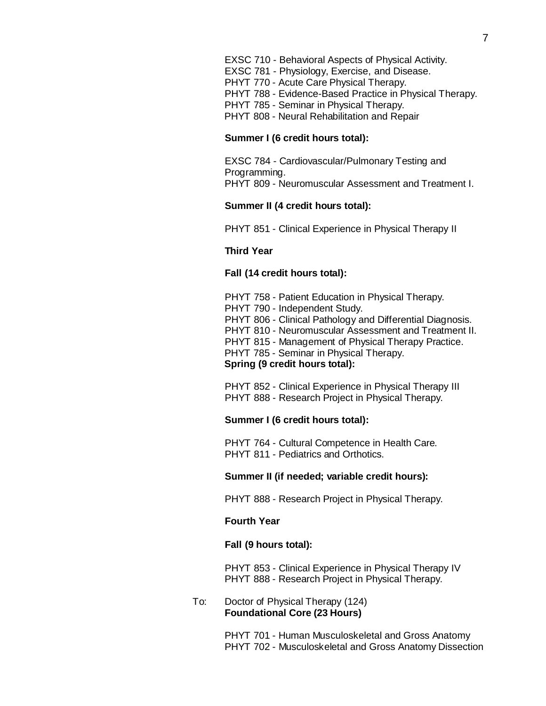EXSC 710 - Behavioral Aspects of [Physical Activity.](http://bulletin.sc.edu/preview_course_nopop.php?catoid=35&amp%3Bamp%3Bamp%3Bcoid=73684) EXSC 781 - [Physiology,](http://bulletin.sc.edu/preview_course_nopop.php?catoid=35&amp%3Bamp%3Bamp%3Bcoid=73695) Exercise, and Disease. PHYT 770 - Acute Care [Physical Therapy.](http://bulletin.sc.edu/preview_course_nopop.php?catoid=35&amp%3Bamp%3Bamp%3Bcoid=76872) PHYT 788 - [Evidence-Based](http://bulletin.sc.edu/preview_course_nopop.php?catoid=35&amp%3Bamp%3Bamp%3Bcoid=76875) Practice in Physical Therap[y.](http://bulletin.sc.edu/preview_course_nopop.php?catoid=35&amp%3Bamp%3Bamp%3Bcoid=76875)  PHYT 785 - Seminar in [Physical Therapy.](http://bulletin.sc.edu/preview_course_nopop.php?catoid=35&amp%3Bamp%3Bamp%3Bcoid=76873) PHYT 808 - Neural [Rehabilitation](http://bulletin.sc.edu/preview_course_nopop.php?catoid=35&amp%3Bamp%3Bamp%3Bcoid=76878) and Repair

#### **Summer I (6 credit hours total):**

EXSC 784 - [Cardiovascular/Pulmonary](http://bulletin.sc.edu/preview_course_nopop.php?catoid=35&amp%3Bamp%3Bamp%3Bcoid=73698) Testing and [Programming.](http://bulletin.sc.edu/preview_course_nopop.php?catoid=35&amp%3Bamp%3Bamp%3Bcoid=73698) PHYT 809 - [Neuromuscular](http://bulletin.sc.edu/preview_course_nopop.php?catoid=35&amp%3Bamp%3Bamp%3Bcoid=76879) Assessment and Treatment I.

# **Summer II (4 credit hours total):**

PHYT 851 - Clinical [Experience](http://bulletin.sc.edu/preview_course_nopop.php?catoid=35&amp%3Bamp%3Bamp%3Bcoid=76884) in Physical Therapy II

### **Third Year**

### **Fall (14 credit hours total):**

PHYT 758 - Patient [Education](http://bulletin.sc.edu/preview_course_nopop.php?catoid=35&amp%3Bamp%3Bamp%3Bcoid=76868) in Physical Therapy. PHYT 790 - [Independent Study.](http://bulletin.sc.edu/preview_course_nopop.php?catoid=35&amp%3Bamp%3Bamp%3Bcoid=76876) PHYT 806 - Clinical Pathology and [Differential](http://bulletin.sc.edu/preview_course_nopop.php?catoid=35&amp%3Bamp%3Bamp%3Bcoid=76877) Diagnosi[s.](http://bulletin.sc.edu/preview_course_nopop.php?catoid=35&amp%3Bamp%3Bamp%3Bcoid=76877)  PHYT 810 - [Neuromuscular](http://bulletin.sc.edu/preview_course_nopop.php?catoid=35&amp%3Bamp%3Bamp%3Bcoid=76880) Assessment and Treatment I[I.](http://bulletin.sc.edu/preview_course_nopop.php?catoid=35&amp%3Bamp%3Bamp%3Bcoid=76880)  PHYT 815 - [Management](http://bulletin.sc.edu/preview_course_nopop.php?catoid=35&amp%3Bamp%3Bamp%3Bcoid=76882) of Physical Therapy Practice. PHYT 785 - Seminar in [Physical Therapy.](http://bulletin.sc.edu/preview_course_nopop.php?catoid=35&amp%3Bamp%3Bamp%3Bcoid=76873) **Spring (9 credit hours total):**

PHYT 852 - Clinical [Experience](http://bulletin.sc.edu/preview_course_nopop.php?catoid=35&amp%3Bamp%3Bamp%3Bcoid=76885) in Physical Therapy I[II](http://bulletin.sc.edu/preview_course_nopop.php?catoid=35&amp%3Bamp%3Bamp%3Bcoid=76885)  PHYT 888 - [Research](http://bulletin.sc.edu/preview_course_nopop.php?catoid=35&amp%3Bamp%3Bamp%3Bcoid=76887) Project in Physical Therapy.

#### **Summer I (6 credit hours total):**

PHYT 764 - Cultural [Competence](http://bulletin.sc.edu/preview_course_nopop.php?catoid=35&amp%3Bamp%3Bamp%3Bcoid=76871) in Health Care. PHYT 811 - [Pediatrics](http://bulletin.sc.edu/preview_course_nopop.php?catoid=35&amp%3Bamp%3Bamp%3Bcoid=76881) and Orthotics.

### **Summer II (if needed; variable credit hours):**

PHYT 888 - [Research](http://bulletin.sc.edu/preview_course_nopop.php?catoid=35&amp%3Bamp%3Bamp%3Bcoid=76887) Project in Physical Therapy.

### **Fourth Year**

### **Fall (9 hours total):**

PHYT 853 - Clinical [Experience](http://bulletin.sc.edu/preview_course_nopop.php?catoid=35&amp%3Bamp%3Bamp%3Bcoid=76886) in Physical Therapy IV PHYT 888 - [Research](http://bulletin.sc.edu/preview_course_nopop.php?catoid=35&amp%3Bamp%3Bamp%3Bcoid=76887) Project in Physical Therapy.

## To: Doctor of Physical Therapy (124) **Foundational Core (23 Hours)**

PHYT 701 - Human [Musculoskeletal](http://bulletin.sc.edu/preview_course_nopop.php?catoid=35&amp%3Bamp%3Bamp%3Bcoid=78991) and Gross Anatomy PHYT 702 - [Musculoskeletal and](http://bulletin.sc.edu/preview_course_nopop.php?catoid=35&amp%3Bamp%3Bamp%3Bcoid=78992) Gross Anatomy Dissection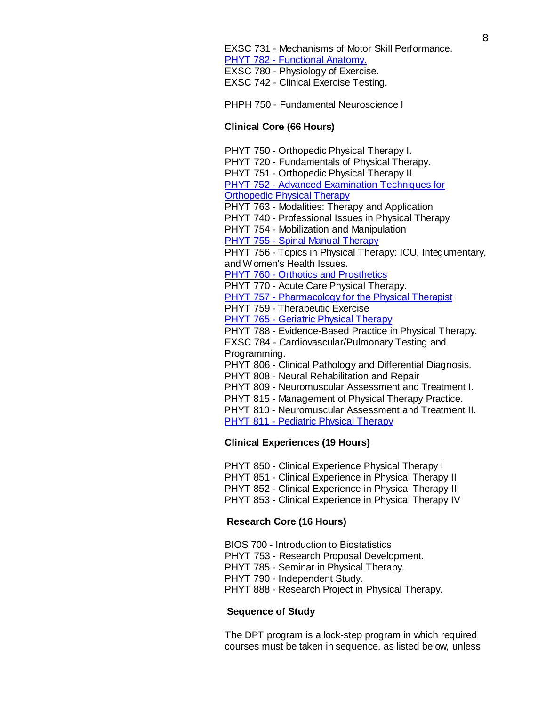PHPH 750 - Fundamental Neuroscience I

# **Clinical Core (66 Hours)**

PHYT 750 - Orthopedic [Physical Therapy](http://bulletin.sc.edu/preview_course_nopop.php?catoid=35&amp%3Bamp%3Bamp%3Bcoid=76862) [I.](http://bulletin.sc.edu/preview_course_nopop.php?catoid=35&amp%3Bamp%3Bamp%3Bcoid=76862)  PHYT 720 - [Fundamentals](http://bulletin.sc.edu/preview_course_nopop.php?catoid=35&amp%3Bamp%3Bamp%3Bcoid=76860) of Physical Therap[y.](http://bulletin.sc.edu/preview_course_nopop.php?catoid=35&amp%3Bamp%3Bamp%3Bcoid=76860)  PHYT 751 - Orthopedic [Physical Therapy](http://bulletin.sc.edu/preview_course_nopop.php?catoid=35&amp%3Bamp%3Bamp%3Bcoid=76863) II PHYT 752 - Advanced [Examination](http://gradschool.sc.edu/facstaff/gradcouncil/2012/PHYT%20752%20Orthopedic%20PT%20III%20NCP_Redacted.pdf) Techniques for [Orthopedic](http://gradschool.sc.edu/facstaff/gradcouncil/2012/PHYT%20752%20Orthopedic%20PT%20III%20NCP_Redacted.pdf) Physical Therapy PHYT 763 - Modalities: Therapy and [Application](http://bulletin.sc.edu/preview_course_nopop.php?catoid=35&amp%3Bamp%3Bamp%3Bcoid=76870)  PHYT 740 - [Professional Issues](http://bulletin.sc.edu/preview_course_nopop.php?catoid=35&amp%3Bamp%3Bamp%3Bcoid=76861) in Physical Therapy PHYT 754 - Mobilization and [Manipulation](http://bulletin.sc.edu/preview_course_nopop.php?catoid=35&amp%3Bamp%3Bamp%3Bcoid=76865) PHYT 755 - Spinal Manual [Therapy](http://gradschool.sc.edu/facstaff/gradcouncil/2012/PHYT%20755%20SPINAL%20MANUAL%20THERAPY%20NCP%2020121113_Redacted.pdf) PHYT 756 - Topics in [Physical Therapy:](http://bulletin.sc.edu/preview_course_nopop.php?catoid=35&amp%3Bamp%3Bamp%3Bcoid=76866) ICU, Integumentar[y,](http://bulletin.sc.edu/preview_course_nopop.php?catoid=35&amp%3Bamp%3Bamp%3Bcoid=76866) and [Women's](http://bulletin.sc.edu/preview_course_nopop.php?catoid=35&amp%3Bamp%3Bamp%3Bcoid=76866) Health Issues. PHYT 760 - Orthotics and [Prosthetics](http://gradschool.sc.edu/facstaff/gradcouncil/2012/PHYT%20760%20Orthotics%20and%20Prosthetics%20NCP%2020121113_Redacted.pdf) PHYT 770 - Acute Care [Physical Therapy.](http://bulletin.sc.edu/preview_course_nopop.php?catoid=35&amp%3Bamp%3Bamp%3Bcoid=76872) PHYT 757 - [Pharmacology](http://gradschool.sc.edu/facstaff/gradcouncil/2012/PHYT%20757%20Topics%20in%20Physical%20Therapy%20Pharmacology%20and%20Prosthetics%20CCP%20DED%2020121113_Redacted.pdf) for the Physical Therapist PHYT 759 - [Therapeutic](http://bulletin.sc.edu/preview_course_nopop.php?catoid=35&amp%3Bamp%3Bamp%3Bcoid=76869) Exercise PHYT 765 - [Geriatric](http://gradschool.sc.edu/facstaff/gradcouncil/2012/PHYT%20765%20Geriatric%20Physical%20therapy%20NCP%2020121113_Redacted.pdf) Physical Therapy PHYT 788 - [Evidence-Based](http://bulletin.sc.edu/preview_course_nopop.php?catoid=35&amp%3Bamp%3Bamp%3Bcoid=76875) Practice in Physical [Therap](http://bulletin.sc.edu/preview_course_nopop.php?catoid=35&amp%3Bamp%3Bamp%3Bcoid=73698)[y.](http://bulletin.sc.edu/preview_course_nopop.php?catoid=35&amp%3Bamp%3Bamp%3Bcoid=76875) EXSC 784 - [Cardiovascular/Pulmonary](http://bulletin.sc.edu/preview_course_nopop.php?catoid=35&amp%3Bamp%3Bamp%3Bcoid=73698) Testing and [Programming.](http://bulletin.sc.edu/preview_course_nopop.php?catoid=35&amp%3Bamp%3Bamp%3Bcoid=73698) PHYT 806 - Clinical Pathology and [Differential Diagnosis.](http://bulletin.sc.edu/preview_course_nopop.php?catoid=35&amp%3Bamp%3Bamp%3Bcoid=76877)  PHYT 808 - Neural [Rehabilitation](http://bulletin.sc.edu/preview_course_nopop.php?catoid=35&amp%3Bamp%3Bamp%3Bcoid=76878) and Repair PHYT 809 - [Neuromuscular](http://bulletin.sc.edu/preview_course_nopop.php?catoid=35&amp%3Bamp%3Bamp%3Bcoid=76879) Assessment and Treatment I. PHYT 815 - [Management](http://bulletin.sc.edu/preview_course_nopop.php?catoid=35&amp%3Bamp%3Bamp%3Bcoid=76882) of Physical Therapy Practice. PHYT 810 - [Neuromuscular](http://bulletin.sc.edu/preview_course_nopop.php?catoid=35&amp%3Bamp%3Bamp%3Bcoid=76880) Assessment and Treatment II.

PHYT 811 - Pediatric [Physical Therapy](http://gradschool.sc.edu/facstaff/gradcouncil/2012/PHYT%20811%20Pdiatris%20and%20Orthotics%20CCP%20BCH%2020121113_Redacted.pdf)

# **Clinical Experiences (19 Hours)**

PHYT 850 - Clinical [Experience](http://bulletin.sc.edu/preview_course_nopop.php?catoid=35&amp%3Bamp%3Bamp%3Bcoid=76883) Physical Therapy I PHYT 851 - Clinical [Experience](http://bulletin.sc.edu/preview_course_nopop.php?catoid=35&amp%3Bamp%3Bamp%3Bcoid=76884) in Physical Therapy II PHYT 852 - Clinical [Experience](http://bulletin.sc.edu/preview_course_nopop.php?catoid=35&amp%3Bamp%3Bamp%3Bcoid=76885) in Physical Therapy III PHYT 853 - Clinical [Experience](http://bulletin.sc.edu/preview_course_nopop.php?catoid=35&amp%3Bamp%3Bamp%3Bcoid=76886) in Physical Therapy IV

# **Research Core (16 Hours)**

BIOS 700 - Introduction to [Biostatistics](http://bulletin.sc.edu/preview_course_nopop.php?catoid=35&amp%3Bamp%3Bamp%3Bcoid=78993) PHYT 753 - Research [Proposal Development.](http://bulletin.sc.edu/preview_course_nopop.php?catoid=35&amp%3Bamp%3Bamp%3Bcoid=76864)  PHYT 785 - Seminar in [Physical Therapy.](http://bulletin.sc.edu/preview_course_nopop.php?catoid=35&amp%3Bamp%3Bamp%3Bcoid=76873)  PHYT 790 - [Independent Study.](http://bulletin.sc.edu/preview_course_nopop.php?catoid=35&amp%3Bamp%3Bamp%3Bcoid=76876) PHYT 888 - [Research](http://bulletin.sc.edu/preview_course_nopop.php?catoid=35&amp%3Bamp%3Bamp%3Bcoid=76887) Project in Physical Therapy.

# **Sequence of Study**

The DPT program is a lock-step program in which required courses must be taken in sequence, as listed below, unless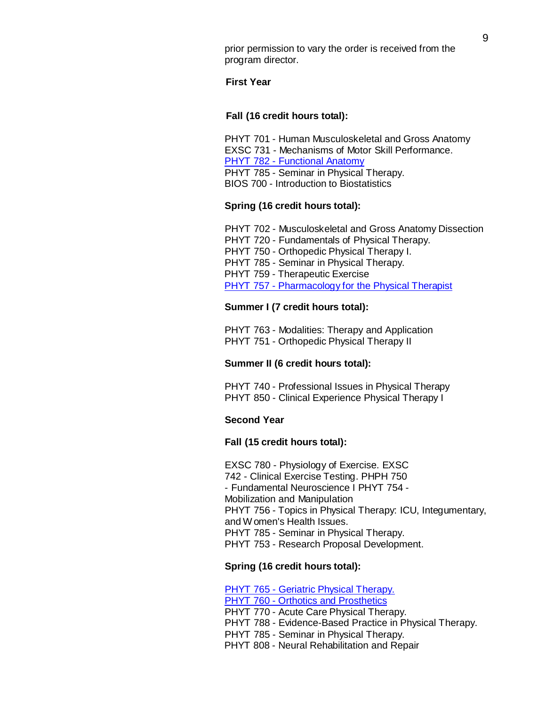prior permission to vary the order is received from the program director.

#### **First Year**

#### **Fall (16 credit hours total):**

PHYT 701 - Human [Musculoskeletal](http://bulletin.sc.edu/preview_course_nopop.php?catoid=35&amp%3Bamp%3Bamp%3Bcoid=78991) and Gross Anatom[y](http://bulletin.sc.edu/preview_course_nopop.php?catoid=35&amp%3Bamp%3Bamp%3Bcoid=78991) EXSC 731 - Mechanisms of Motor Skill [Performance.](http://bulletin.sc.edu/preview_course_nopop.php?catoid=35&amp%3Bamp%3Bamp%3Bcoid=73685)  PHYT 782 - [Functional](http://gradschool.sc.edu/facstaff/gradcouncil/2012/EXSC%20782%20CCP%20(Public%20Health%2010-1-12).pdf) Anatomy PHYT 785 - Seminar in [Physical Therapy.](http://bulletin.sc.edu/preview_course_nopop.php?catoid=35&amp%3Bamp%3Bamp%3Bcoid=76873) BIOS 700 - Introduction to [Biostatistics](http://bulletin.sc.edu/preview_course_nopop.php?catoid=35&amp%3Bamp%3Bamp%3Bcoid=78993)

# **Spring (16 credit hours total):**

PHYT 702 - [Musculoskeletal and](http://bulletin.sc.edu/preview_course_nopop.php?catoid=35&amp%3Bamp%3Bamp%3Bcoid=78992) Gross Anatomy Dissection PHYT 720 - [Fundamentals](http://bulletin.sc.edu/preview_course_nopop.php?catoid=35&amp%3Bamp%3Bamp%3Bcoid=76860) of Physical Therapy. PHYT 750 - Orthopedic [Physical Therapy](http://bulletin.sc.edu/preview_course_nopop.php?catoid=35&amp%3Bamp%3Bamp%3Bcoid=76862) I. PHYT 785 - Seminar in [Physical Therapy.](http://bulletin.sc.edu/preview_course_nopop.php?catoid=35&amp%3Bamp%3Bamp%3Bcoid=76873) PHYT 759 - [Therapeutic](http://bulletin.sc.edu/preview_course_nopop.php?catoid=35&amp%3Bamp%3Bamp%3Bcoid=76869) Exercise PHYT 757 - [Pharmacology](http://gradschool.sc.edu/facstaff/gradcouncil/2012/PHYT%20757%20Topics%20in%20Physical%20Therapy%20Pharmacology%20and%20Prosthetics%20CCP%20DED%2020121113_Redacted.pdf) for the Physical Therapist

#### **Summer I (7 credit hours total):**

PHYT 763 - Modalities: Therapy and [Application](http://bulletin.sc.edu/preview_course_nopop.php?catoid=35&amp%3Bamp%3Bamp%3Bcoid=76870) PHYT 751 - Orthopedic [Physical Therapy](http://bulletin.sc.edu/preview_course_nopop.php?catoid=35&amp%3Bamp%3Bamp%3Bcoid=76863) II

#### **Summer II (6 credit hours total):**

PHYT 740 - [Professional Issues](http://bulletin.sc.edu/preview_course_nopop.php?catoid=35&amp%3Bamp%3Bamp%3Bcoid=76861) in Physical Therapy PHYT 850 - Clinical [Experience](http://bulletin.sc.edu/preview_course_nopop.php?catoid=35&amp%3Bamp%3Bamp%3Bcoid=76883) Physical Therapy I

## **Second Year**

#### **Fall (15 credit hours total):**

EXSC 780 - [Physiology](http://bulletin.sc.edu/preview_course_nopop.php?catoid=35&amp%3Bamp%3Bamp%3Bcoid=73694) of Exercise. [EXSC](http://bulletin.sc.edu/preview_course_nopop.php?catoid=35&amp%3Bamp%3Bamp%3Bcoid=73694) 742 - [Clinical Exercise](http://bulletin.sc.edu/preview_course_nopop.php?catoid=35&amp%3Bamp%3Bamp%3Bcoid=73686) Testin[g. PHPH 750](http://bulletin.sc.edu/preview_course_nopop.php?catoid=35&amp%3Bamp%3Bamp%3Bcoid=73686) - [Fundamental Neuroscience](http://bulletin.sc.edu/preview_course_nopop.php?catoid=35&amp%3Bamp%3Bamp%3Bcoid=76637) I [PHYT](http://bulletin.sc.edu/preview_course_nopop.php?catoid=35&amp%3Bamp%3Bamp%3Bcoid=76637) 754 [-](http://bulletin.sc.edu/preview_course_nopop.php?catoid=35&amp%3Bamp%3Bamp%3Bcoid=76865) Mobilization and [Manipulation](http://bulletin.sc.edu/preview_course_nopop.php?catoid=35&amp%3Bamp%3Bamp%3Bcoid=76865) PHYT 756 - Topics in [Physical Therapy:](http://bulletin.sc.edu/preview_course_nopop.php?catoid=35&amp%3Bamp%3Bamp%3Bcoid=76866) ICU, Integumentar[y,](http://bulletin.sc.edu/preview_course_nopop.php?catoid=35&amp%3Bamp%3Bamp%3Bcoid=76866) and [Women's](http://bulletin.sc.edu/preview_course_nopop.php?catoid=35&amp%3Bamp%3Bamp%3Bcoid=76866) Health Issues. PHYT 785 - Seminar in [Physical Therapy.](http://bulletin.sc.edu/preview_course_nopop.php?catoid=35&amp%3Bamp%3Bamp%3Bcoid=76873) PHYT 753 - Research [Proposal Development.](http://bulletin.sc.edu/preview_course_nopop.php?catoid=35&amp%3Bamp%3Bamp%3Bcoid=76864)

#### **Spring (16 credit hours total):**

PHYT 765 - Geriatric Physical [Therapy.](http://gradschool.sc.edu/facstaff/gradcouncil/2012/PHYT%20765%20Geriatric%20Physical%20therapy%20NCP%2020121113_Redacted.pdf) PHYT 760 - Orthotics and [Prosthetics](http://gradschool.sc.edu/facstaff/gradcouncil/2012/PHYT%20760%20Orthotics%20and%20Prosthetics%20NCP%2020121113_Redacted.pdf) PHYT 770 - Acute Care [Physical Therapy.](http://bulletin.sc.edu/preview_course_nopop.php?catoid=35&amp%3Bamp%3Bamp%3Bcoid=76872) PHYT 788 - [Evidence-Based](http://bulletin.sc.edu/preview_course_nopop.php?catoid=35&amp%3Bamp%3Bamp%3Bcoid=76875) Practice in Physical Therap[y.](http://bulletin.sc.edu/preview_course_nopop.php?catoid=35&amp%3Bamp%3Bamp%3Bcoid=76875) PHYT 785 - Seminar in [Physical Therapy.](http://bulletin.sc.edu/preview_course_nopop.php?catoid=35&amp%3Bamp%3Bamp%3Bcoid=76873)  PHYT 808 - Neural [Rehabilitation](http://bulletin.sc.edu/preview_course_nopop.php?catoid=35&amp%3Bamp%3Bamp%3Bcoid=76878) and Repair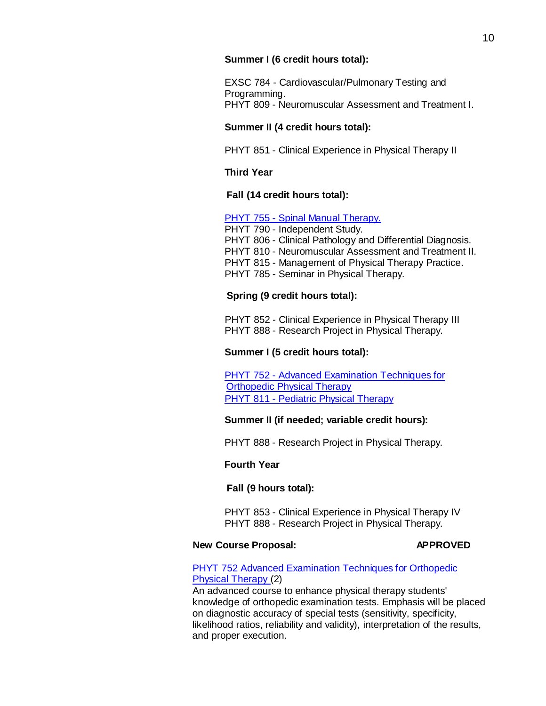## **Summer I (6 credit hours total):**

EXSC 784 - [Cardiovascular/Pulmonary](http://bulletin.sc.edu/preview_course_nopop.php?catoid=35&amp%3Bamp%3Bamp%3Bcoid=73698) Testing and [Programming.](http://bulletin.sc.edu/preview_course_nopop.php?catoid=35&amp%3Bamp%3Bamp%3Bcoid=73698) PHYT 809 - [Neuromuscular](http://bulletin.sc.edu/preview_course_nopop.php?catoid=35&amp%3Bamp%3Bamp%3Bcoid=76879) Assessment and Treatment I.

# **Summer II (4 credit hours total):**

PHYT 851 - Clinical [Experience](http://bulletin.sc.edu/preview_course_nopop.php?catoid=35&amp%3Bamp%3Bamp%3Bcoid=76884) in Physical Therapy II

# **Third Year**

# **Fall (14 credit hours total):**

# PHYT 755 - Spinal Manual [Therapy.](http://gradschool.sc.edu/facstaff/gradcouncil/2012/PHYT%20755%20SPINAL%20MANUAL%20THERAPY%20NCP%2020121113_Redacted.pdf)

PHYT 790 - [Independent Study.](http://bulletin.sc.edu/preview_course_nopop.php?catoid=35&amp%3Bamp%3Bamp%3Bcoid=76876) PHYT 806 - Clinical Pathology and [Differential Diagnosis.](http://bulletin.sc.edu/preview_course_nopop.php?catoid=35&amp%3Bamp%3Bamp%3Bcoid=76877)  PHYT 810 - [Neuromuscular](http://bulletin.sc.edu/preview_course_nopop.php?catoid=35&amp%3Bamp%3Bamp%3Bcoid=76880) Assessment and Treatment II. PHYT 815 - [Management](http://bulletin.sc.edu/preview_course_nopop.php?catoid=35&amp%3Bamp%3Bamp%3Bcoid=76882) of Physical Therapy Practice. PHYT 785 - Seminar in [Physical Therapy.](http://bulletin.sc.edu/preview_course_nopop.php?catoid=35&amp%3Bamp%3Bamp%3Bcoid=76873)

# **Spring (9 credit hours total):**

PHYT 852 - Clinical [Experience](http://bulletin.sc.edu/preview_course_nopop.php?catoid=35&amp%3Bamp%3Bamp%3Bcoid=76885) in Physical Therapy I[II](http://bulletin.sc.edu/preview_course_nopop.php?catoid=35&amp%3Bamp%3Bamp%3Bcoid=76885)  PHYT 888 - [Research](http://bulletin.sc.edu/preview_course_nopop.php?catoid=35&amp%3Bamp%3Bamp%3Bcoid=76887) Project in Physical Therapy.

# **Summer I (5 credit hours total):**

PHYT 752 - Advanced [Examination](http://gradschool.sc.edu/facstaff/gradcouncil/2012/PHYT%20752%20Orthopedic%20PT%20III%20NCP_Redacted.pdf) Techniques for [Orthopedic](http://gradschool.sc.edu/facstaff/gradcouncil/2012/PHYT%20752%20Orthopedic%20PT%20III%20NCP_Redacted.pdf) Physical Therapy PHYT 811 - Pediatric [Physical Therapy](http://gradschool.sc.edu/facstaff/gradcouncil/2012/PHYT%20811%20Pdiatris%20and%20Orthotics%20CCP%20BCH%2020121113_Redacted.pdf)

# **Summer II (if needed; variable credit hours):**

PHYT 888 - [Research](http://bulletin.sc.edu/preview_course_nopop.php?catoid=35&amp%3Bamp%3Bamp%3Bcoid=76887) Project in Physical Therapy.

# **Fourth Year**

# **Fall (9 hours total):**

PHYT 853 - Clinical [Experience](http://bulletin.sc.edu/preview_course_nopop.php?catoid=35&amp%3Bamp%3Bamp%3Bcoid=76886) in Physical Therapy IV PHYT 888 - [Research](http://bulletin.sc.edu/preview_course_nopop.php?catoid=35&amp%3Bamp%3Bamp%3Bcoid=76887) Project in Physical Therapy.

# **New Course Proposal: APPROVED**

# PHYT 752 Advanced [Examination](http://gradschool.sc.edu/facstaff/gradcouncil/2012/PHYT%20752%20Orthopedic%20PT%20III%20NCP_Redacted.pdf) Techniques for Orthopedic [Physical Therapy \(](http://gradschool.sc.edu/facstaff/gradcouncil/2012/PHYT%20752%20Orthopedic%20PT%20III%20NCP_Redacted.pdf)2)

An advanced course to enhance physical therapy students' knowledge of orthopedic examination tests. Emphasis will be placed on diagnostic accuracy of special tests (sensitivity, specificity, likelihood ratios, reliability and validity), interpretation of the results, and proper execution.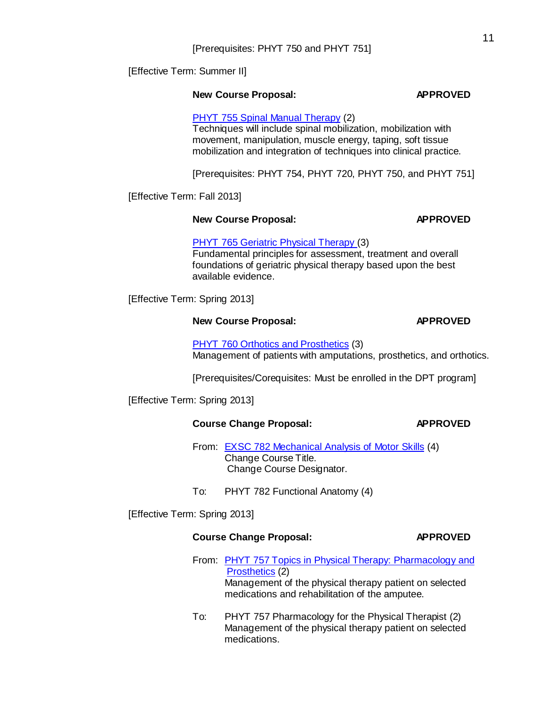[Effective Term: Summer II]

# **New Course Proposal: APPROVED**

PHYT 755 Spinal Manual [Therapy](http://gradschool.sc.edu/facstaff/gradcouncil/2012/PHYT%20755%20SPINAL%20MANUAL%20THERAPY%20NCP%2020121113_Redacted.pdf) (2) Techniques will include spinal mobilization, mobilization with movement, manipulation, muscle energy, taping, soft tissue mobilization and integration of techniques into clinical practice.

[Prerequisites: PHYT 754, PHYT 720, PHYT 750, and PHYT 751]

[Effective Term: Fall 2013]

# **New Course Proposal: APPROVED**

PHYT 765 Geriatric Physical [Therapy \(](http://gradschool.sc.edu/facstaff/gradcouncil/2012/PHYT%20765%20Geriatric%20Physical%20therapy%20NCP%2020121113_Redacted.pdf)3) Fundamental principles for assessment, treatment and overall foundations of geriatric physical therapy based upon the best available evidence.

[Effective Term: Spring 2013]

# **New Course Proposal: APPROVED**

PHYT 760 Orthotics and [Prosthetics](http://gradschool.sc.edu/facstaff/gradcouncil/2012/PHYT%20760%20Orthotics%20and%20Prosthetics%20NCP%2020121113_Redacted.pdf) (3) Management of patients with amputations, prosthetics, and orthotics.

[Prerequisites/Corequisites: Must be enrolled in the DPT program]

[Effective Term: Spring 2013]

# **Course Change Proposal: APPROVED**

From: EXSC 782 [Mechanical Analysis](http://gradschool.sc.edu/facstaff/gradcouncil/2012/EXSC%20782%20CCP%20(Public%20Health%2010-1-12).pdf) of Motor Skills (4) Change Course Title. Change Course Designator.

To: PHYT 782 Functional Anatomy (4)

[Effective Term: Spring 2013]

# **Course Change Proposal: APPROVED**

- From: PHYT 757 Topics in Physical Therapy: [Pharmacology](http://gradschool.sc.edu/facstaff/gradcouncil/2012/PHYT%20757%20Topics%20in%20Physical%20Therapy%20Pharmacology%20and%20Prosthetics%20CCP%20DED%2020121113_Redacted.pdf) and [Prosthetics](http://gradschool.sc.edu/facstaff/gradcouncil/2012/PHYT%20757%20Topics%20in%20Physical%20Therapy%20Pharmacology%20and%20Prosthetics%20CCP%20DED%2020121113_Redacted.pdf) (2) Management of the physical therapy patient on selected medications and rehabilitation of the amputee.
- To: PHYT 757 Pharmacology for the Physical Therapist (2) Management of the physical therapy patient on selected medications.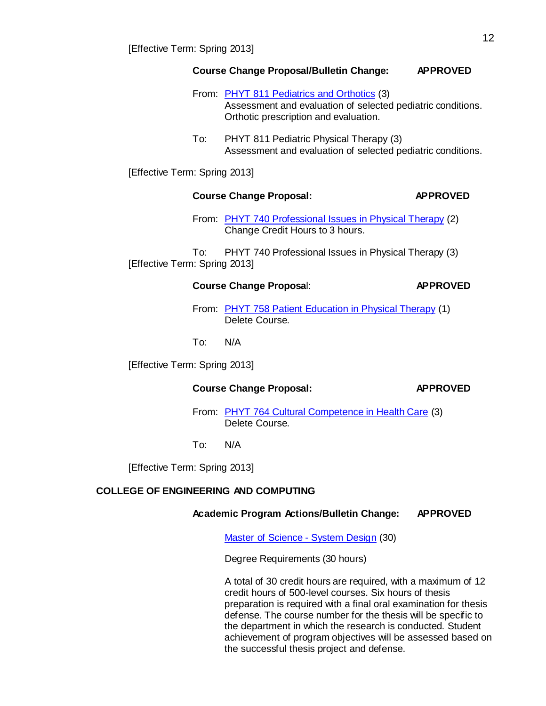# **Course Change Proposal/Bulletin Change: APPROVED**

- From: PHYT 811 [Pediatrics](http://gradschool.sc.edu/facstaff/gradcouncil/2012/PHYT%20811%20Pdiatris%20and%20Orthotics%20CCP%20BCH%2020121113_Redacted.pdf) and Orthotics (3) Assessment and evaluation of selected pediatric conditions. Orthotic prescription and evaluation.
- To: PHYT 811 Pediatric Physical Therapy (3) Assessment and evaluation of selected pediatric conditions.

[Effective Term: Spring 2013]

# **Course Change Proposal: APPROVED**

From: PHYT 740 [Professional](http://gradschool.sc.edu/facstaff/gradcouncil/2012/PHYT%20740%20CCP%20(Public%20Health%2010-1-12).pdf) Issues in Physical Therapy (2) Change Credit Hours to 3 hours.

To: PHYT 740 Professional Issues in Physical Therapy (3) [Effective Term: Spring 2013]

# **Course Change Proposa**l: **APPROVED**

From: PHYT 758 Patient [Education](http://gradschool.sc.edu/facstaff/gradcouncil/2012/PHYT%20758%20CCP%20(Public%20Health%2010-1-12).pdf) in Physical Therapy (1) Delete Course.

To: N/A

[Effective Term: Spring 2013]

# **Course Change Proposal: APPROVED**

From: PHYT 764 [Cultural Competence](http://gradschool.sc.edu/facstaff/gradcouncil/2012/PHYT%20764%20CCP%20(Public%20Health%2010-1-12).pdf) in Health Care (3) Delete Course.

To: N/A

[Effective Term: Spring 2013]

# **COLLEGE OF ENGINEERING AND COMPUTING**

# **Academic Program Actions/Bulletin Change: APPROVED**

Master of [Science](http://gradschool.sc.edu/facstaff/gradcouncil/2012/Master%20of%20Science%20System%20Design_Redacted.pdf) - System Design (30)

Degree Requirements (30 hours)

A total of 30 credit hours are required, with a maximum of 12 credit hours of 500-level courses. Six hours of thesis preparation is required with a final oral examination for thesis defense. The course number for the thesis will be specific to the department in which the research is conducted. Student achievement of program objectives will be assessed based on the successful thesis project and defense.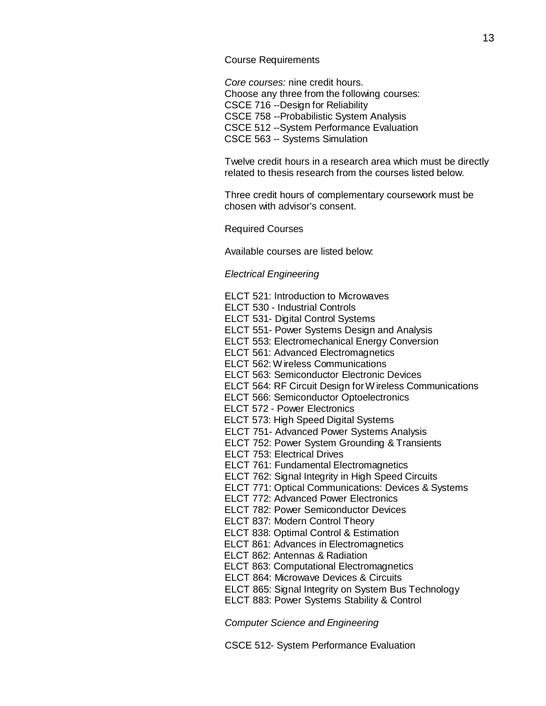#### Course Requirements

*Core courses:* nine credit hours. Choose any three from the following courses: CSCE 716 --Design for Reliability CSCE 758 --Probabilistic System Analysis CSCE 512 --System Performance Evaluation CSCE 563 -- Systems Simulation

Twelve credit hours in a research area which must be directly related to thesis research from the courses listed below.

Three credit hours of complementary coursework must be chosen with advisor's consent.

#### Required Courses

Available courses are listed below:

#### *Electrical Engineering*

- ELCT 521: Introduction to Microwaves
- ELCT 530 Industrial Controls
- ELCT 531- Digital Control Systems
- ELCT 551- Power Systems Design and Analysis
- ELCT 553: Electromechanical Energy Conversion
- ELCT 561: Advanced Electromagnetics
- ELCT 562: W ireless Communications
- ELCT 563: Semiconductor Electronic Devices
- ELCT 564: RF Circuit Design for W ireless Communications
- ELCT 566: Semiconductor Optoelectronics
- ELCT 572 Power Electronics
- ELCT 573: High Speed Digital Systems
- ELCT 751- Advanced Power Systems Analysis
- ELCT 752: Power System Grounding & Transients
- ELCT 753: Electrical Drives
- ELCT 761: Fundamental Electromagnetics
- ELCT 762: Signal Integrity in High Speed Circuits
- ELCT 771: Optical Communications: Devices & Systems
- ELCT 772: Advanced Power Electronics
- ELCT 782: Power Semiconductor Devices
- ELCT 837: Modern Control Theory
- ELCT 838: Optimal Control & Estimation
- ELCT 861: Advances in Electromagnetics
- ELCT 862: Antennas & Radiation
- ELCT 863: Computational Electromagnetics
- ELCT 864: Microwave Devices & Circuits
- ELCT 865: Signal Integrity on System Bus Technology
- ELCT 883: Power Systems Stability & Control

*Computer Science and Engineering*

CSCE 512- System Performance Evaluation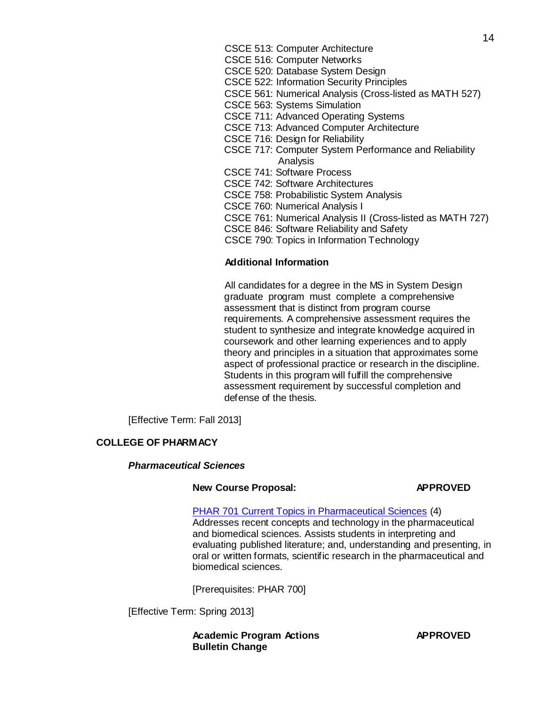- CSCE 513: Computer Architecture
- CSCE 516: Computer Networks
- CSCE 520: Database System Design
- CSCE 522: Information Security Principles
- CSCE 561: Numerical Analysis (Cross-listed as MATH 527)
- CSCE 563: Systems Simulation
- CSCE 711: Advanced Operating Systems
- CSCE 713: Advanced Computer Architecture
- CSCE 716: Design for Reliability
- CSCE 717: Computer System Performance and Reliability Analysis
- CSCE 741: Software Process
- CSCE 742: Software Architectures
- CSCE 758: Probabilistic System Analysis
- CSCE 760: Numerical Analysis I
- CSCE 761: Numerical Analysis II (Cross-listed as MATH 727)
- CSCE 846: Software Reliability and Safety
- CSCE 790: Topics in Information Technology

# **Additional Information**

All candidates for a degree in the MS in System Design graduate program must complete a comprehensive assessment that is distinct from program course requirements. A comprehensive assessment requires the student to synthesize and integrate knowledge acquired in coursework and other learning experiences and to apply theory and principles in a situation that approximates some aspect of professional practice or research in the discipline. Students in this program will fulfill the comprehensive assessment requirement by successful completion and defense of the thesis.

[Effective Term: Fall 2013]

# **COLLEGE OF PHARMACY**

# *Pharmaceutical Sciences*

# **New Course Proposal: APPROVED**

# PHAR 701 Current Topics in [Pharmaceutical](http://gradschool.sc.edu/facstaff/gradcouncil/2012/PHAR%20701%20Cur.%20Topics%20in%20Pharm%20Sciences%20NCP%2020121115_Redacted.pdf) Sciences (4)

Addresses recent concepts and technology in the pharmaceutical and biomedical sciences. Assists students in interpreting and evaluating published literature; and, understanding and presenting, in oral or written formats, scientific research in the pharmaceutical and biomedical sciences.

[Prerequisites: PHAR 700]

[Effective Term: Spring 2013]

**Academic Program Actions APPROVED Bulletin Change**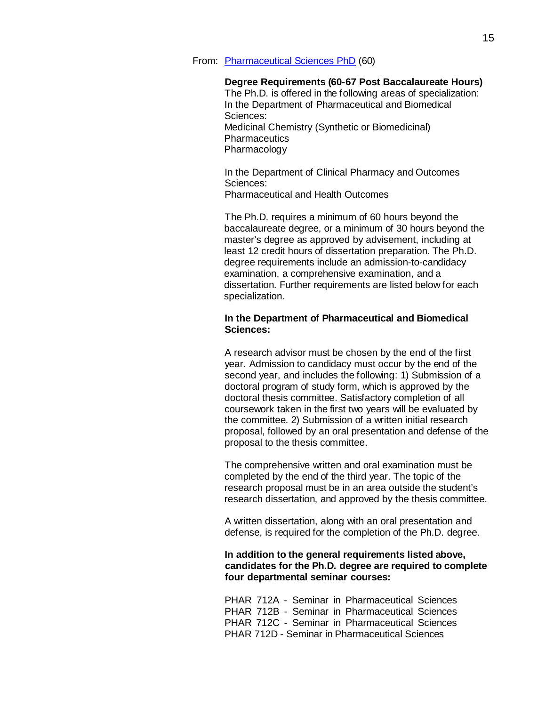From: [Pharmaceutical](http://gradschool.sc.edu/facstaff/gradcouncil/2012/Pharmaceutical%20Sciences%20PhD%20APA%20BCH%2020121115_Redacted.pdf) Sciences PhD (60)

#### **Degree Requirements (60-67 Post Baccalaureate Hours)**

The Ph.D. is offered in the following areas of specialization: In the Department of Pharmaceutical and Biomedical Sciences: Medicinal Chemistry (Synthetic or Biomedicinal) **Pharmaceutics** Pharmacology

In the Department of Clinical Pharmacy and Outcomes Sciences: Pharmaceutical and Health Outcomes

The Ph.D. requires a minimum of 60 hours beyond the baccalaureate degree, or a minimum of 30 hours beyond the master's degree as approved by advisement, including at least 12 credit hours of dissertation preparation. The Ph.D. degree requirements include an admission-to-candidacy examination, a comprehensive examination, and a dissertation. Further requirements are listed below for each specialization.

# **In the Department of Pharmaceutical and Biomedical Sciences:**

A research advisor must be chosen by the end of the first year. Admission to candidacy must occur by the end of the second year, and includes the following: 1) Submission of a doctoral program of study form, which is approved by the doctoral thesis committee. Satisfactory completion of all coursework taken in the first two years will be evaluated by the committee. 2) Submission of a written initial research proposal, followed by an oral presentation and defense of the proposal to the thesis committee.

The comprehensive written and oral examination must be completed by the end of the third year. The topic of the research proposal must be in an area outside the student's research dissertation, and approved by the thesis committee.

A written dissertation, along with an oral presentation and defense, is required for the completion of the Ph.D. degree.

# **In addition to the general requirements listed above, candidates for the Ph.D. degree are required to complete four departmental seminar courses:**

PHAR 712A - Seminar in [Pharmaceutical Sciences](http://bulletin.sc.edu/preview_course_nopop.php?catoid=35&amp%3Bamp%3Bamp%3Bcoid=76458) PHAR 712B - Seminar in [Pharmaceutical Sciences](http://bulletin.sc.edu/preview_course_nopop.php?catoid=35&amp%3Bamp%3Bamp%3Bcoid=76459) PHAR 712C - Seminar in [Pharmaceutical](http://bulletin.sc.edu/preview_course_nopop.php?catoid=35&amp%3Bamp%3Bamp%3Bcoid=76460) Science[s](http://bulletin.sc.edu/preview_course_nopop.php?catoid=35&amp%3Bamp%3Bamp%3Bcoid=76460) PHAR 712D - Seminar in [Pharmaceutical](http://bulletin.sc.edu/preview_course_nopop.php?catoid=35&amp%3Bamp%3Bamp%3Bcoid=76461) Sciences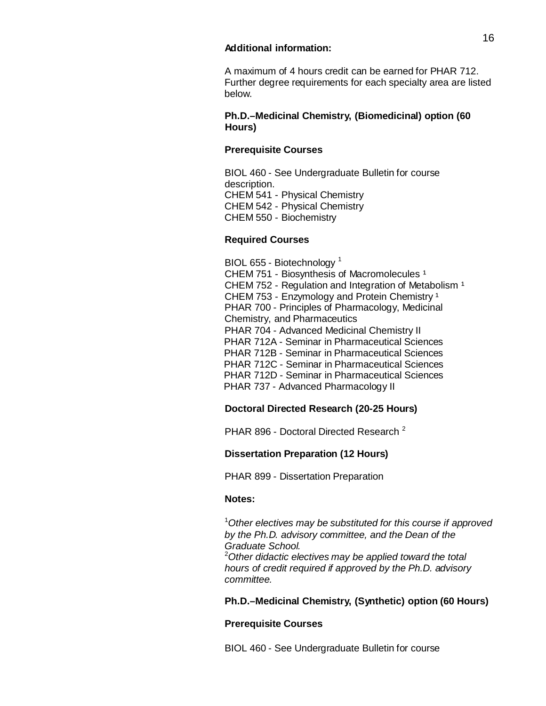## **Additional information:**

A maximum of 4 hours credit can be earned for PHAR 712. Further degree requirements for each specialty area are listed below.

# **Ph.D.–Medicinal Chemistry, (Biomedicinal) option (60 Hours)**

# **Prerequisite Courses**

BIOL 460 - See Undergraduate Bulletin for course description. CHEM 541 - [Physical Chemistry](http://bulletin.sc.edu/preview_course_nopop.php?catoid=35&amp%3Bamp%3Bamp%3Bcoid=71518) CHEM 542 - [Physical Chemistry](http://bulletin.sc.edu/preview_course_nopop.php?catoid=35&amp%3Bamp%3Bamp%3Bcoid=71522) CHEM 550 - [Biochemistry](http://bulletin.sc.edu/preview_course_nopop.php?catoid=35&amp%3Bamp%3Bamp%3Bcoid=71528)

# **Required Courses**

BIOL 655 - [Biotechnology](http://bulletin.sc.edu/preview_course_nopop.php?catoid=35&amp%3Bamp%3Bamp%3Bcoid=71336)<sup>1</sup> CHEM 751 - Biosynthesis of [Macromolecules](http://bulletin.sc.edu/preview_course_nopop.php?catoid=35&amp%3Bamp%3Bamp%3Bcoid=71590)<sup>1</sup> CHEM 752 - Regulation and Integration of [Metabolism](http://bulletin.sc.edu/preview_course_nopop.php?catoid=35&amp%3Bamp%3Bamp%3Bcoid=71591)<sup>1</sup> CHEM 753 - [Enzymology](http://bulletin.sc.edu/preview_course_nopop.php?catoid=35&amp%3Bamp%3Bamp%3Bcoid=71592) and Protein Chemistry<sup>1</sup> PHAR 700 - Principles of [Pharmacology,](http://bulletin.sc.edu/preview_course_nopop.php?catoid=35&amp%3Bamp%3Bamp%3Bcoid=76444) Medicinal Chemistry, and [Pharmaceutics](http://bulletin.sc.edu/preview_course_nopop.php?catoid=35&amp%3Bamp%3Bamp%3Bcoid=76444) PHAR 704 - Advanced [Medicinal Chemistry](http://bulletin.sc.edu/preview_course_nopop.php?catoid=35&amp%3Bamp%3Bamp%3Bcoid=76447) [II](http://bulletin.sc.edu/preview_course_nopop.php?catoid=35&amp%3Bamp%3Bamp%3Bcoid=76447) PHAR 712A - Seminar in [Pharmaceutical](http://bulletin.sc.edu/preview_course_nopop.php?catoid=35&amp%3Bamp%3Bamp%3Bcoid=76458) Science[s](http://bulletin.sc.edu/preview_course_nopop.php?catoid=35&amp%3Bamp%3Bamp%3Bcoid=76459) PHAR 712B - Seminar in [Pharmaceutical](http://bulletin.sc.edu/preview_course_nopop.php?catoid=35&amp%3Bamp%3Bamp%3Bcoid=76459) Science[s](http://bulletin.sc.edu/preview_course_nopop.php?catoid=35&amp%3Bamp%3Bamp%3Bcoid=76460) PHAR 712C - Seminar in [Pharmaceutical](http://bulletin.sc.edu/preview_course_nopop.php?catoid=35&amp%3Bamp%3Bamp%3Bcoid=76460) Science[s](http://bulletin.sc.edu/preview_course_nopop.php?catoid=35&amp%3Bamp%3Bamp%3Bcoid=76461) PHAR 712D - Seminar in [Pharmaceutical](http://bulletin.sc.edu/preview_course_nopop.php?catoid=35&amp%3Bamp%3Bamp%3Bcoid=76461) Sciences PHAR 737 - Advanced [Pharmacology](http://bulletin.sc.edu/preview_course_nopop.php?catoid=35&amp%3Bamp%3Bamp%3Bcoid=76475) II

# **Doctoral Directed Research (20-25 Hours)**

[PHAR 896](http://bulletin.sc.edu/preview_course_nopop.php?catoid=35&amp%3Bamp%3Bamp%3Bcoid=76485) - Doctoral Directed Research<sup>2</sup>

# **Dissertation Preparation (12 Hours)**

PHAR 899 - Dissertation [Preparation](http://bulletin.sc.edu/preview_course_nopop.php?catoid=35&amp%3Bamp%3Bamp%3Bcoid=76486) 

# **Notes:**

1 *Other electives may be substituted for this course if approved by the Ph.D. advisory committee, and the Dean of the Graduate School.* <sup>2</sup>

*Other didactic electives may be applied toward the total hours of credit required if approved by the Ph.D. advisory committee.*

# **Ph.D.–Medicinal Chemistry, (Synthetic) option (60 Hours)**

# **Prerequisite Courses**

BIOL 460 - See Undergraduate Bulletin for course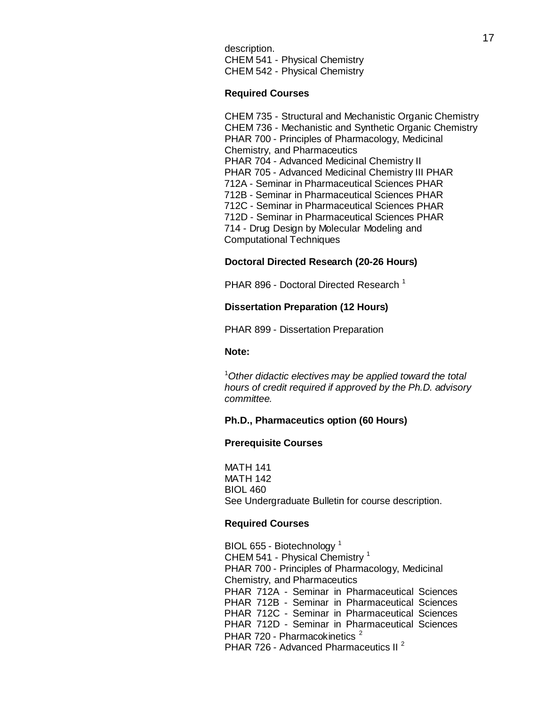description. CHEM 541 - [Physical Chemistry](http://bulletin.sc.edu/preview_course_nopop.php?catoid=35&amp%3Bamp%3Bamp%3Bcoid=71518) CHEM 542 - [Physical Chemistry](http://bulletin.sc.edu/preview_course_nopop.php?catoid=35&amp%3Bamp%3Bamp%3Bcoid=71522)

### **Required Courses**

CHEM 735 - Structural and [Mechanistic](http://bulletin.sc.edu/preview_course_nopop.php?catoid=35&amp%3Bamp%3Bamp%3Bcoid=71580) Organic Chemistry CHEM 736 - [Mechanistic](http://bulletin.sc.edu/preview_course_nopop.php?catoid=35&amp%3Bamp%3Bamp%3Bcoid=71581) and Synthetic Organic Chemistr[y](http://bulletin.sc.edu/preview_course_nopop.php?catoid=35&amp%3Bamp%3Bamp%3Bcoid=71581) PHAR 700 - Principles of [Pharmacology,](http://bulletin.sc.edu/preview_course_nopop.php?catoid=35&amp%3Bamp%3Bamp%3Bcoid=76444) Medicinal Chemistry, and [Pharmaceutics](http://bulletin.sc.edu/preview_course_nopop.php?catoid=35&amp%3Bamp%3Bamp%3Bcoid=76444) PHAR 704 - Advanced [Medicinal Chemistry](http://bulletin.sc.edu/preview_course_nopop.php?catoid=35&amp%3Bamp%3Bamp%3Bcoid=76447) [I](http://bulletin.sc.edu/preview_course_nopop.php?catoid=35&amp%3Bamp%3Bamp%3Bcoid=76447)[I](http://bulletin.sc.edu/preview_course_nopop.php?catoid=35&amp%3Bamp%3Bamp%3Bcoid=76448) PHAR 705 - Advanced [Medicinal Chemistry](http://bulletin.sc.edu/preview_course_nopop.php?catoid=35&amp%3Bamp%3Bamp%3Bcoid=76448) I[II](http://bulletin.sc.edu/preview_course_nopop.php?catoid=35&amp%3Bamp%3Bamp%3Bcoid=76448) [PHAR](http://bulletin.sc.edu/preview_course_nopop.php?catoid=35&amp%3Bamp%3Bamp%3Bcoid=76458)  712A - Seminar in [Pharmaceutical](http://bulletin.sc.edu/preview_course_nopop.php?catoid=35&amp%3Bamp%3Bamp%3Bcoid=76458) Sciences [PHAR](http://bulletin.sc.edu/preview_course_nopop.php?catoid=35&amp%3Bamp%3Bamp%3Bcoid=76459)  712B - Seminar in [Pharmaceutical](http://bulletin.sc.edu/preview_course_nopop.php?catoid=35&amp%3Bamp%3Bamp%3Bcoid=76459) Sciences [PHAR](http://bulletin.sc.edu/preview_course_nopop.php?catoid=35&amp%3Bamp%3Bamp%3Bcoid=76460)  712C - Seminar in [Pharmaceutical](http://bulletin.sc.edu/preview_course_nopop.php?catoid=35&amp%3Bamp%3Bamp%3Bcoid=76460) Sciences [PHAR](http://bulletin.sc.edu/preview_course_nopop.php?catoid=35&amp%3Bamp%3Bamp%3Bcoid=76461)  712D - Seminar in [Pharmaceutical](http://bulletin.sc.edu/preview_course_nopop.php?catoid=35&amp%3Bamp%3Bamp%3Bcoid=76461) Sciences [PHAR](http://bulletin.sc.edu/preview_course_nopop.php?catoid=35&amp%3Bamp%3Bamp%3Bcoid=76463)  714 - Drug Design by [Molecular](http://bulletin.sc.edu/preview_course_nopop.php?catoid=35&amp%3Bamp%3Bamp%3Bcoid=76463) Modeling an[d](http://bulletin.sc.edu/preview_course_nopop.php?catoid=35&amp%3Bamp%3Bamp%3Bcoid=76463) [Computational](http://bulletin.sc.edu/preview_course_nopop.php?catoid=35&amp%3Bamp%3Bamp%3Bcoid=76463) Techniques

# **Doctoral Directed Research (20-26 Hours)**

[PHAR 896](http://bulletin.sc.edu/preview_course_nopop.php?catoid=35&amp%3Bamp%3Bamp%3Bcoid=76485) - Doctoral Directed Research<sup>1</sup>

# **Dissertation Preparation (12 Hours)**

PHAR 899 - Dissertation [Preparation](http://bulletin.sc.edu/preview_course_nopop.php?catoid=35&amp%3Bamp%3Bamp%3Bcoid=76486) 

#### **Note:**

1 *Other didactic electives may be applied toward the total hours of credit required if approved by the Ph.D. advisory committee.*

#### **Ph.D., Pharmaceutics option (60 Hours)**

### **Prerequisite Courses**

MATH 141 MATH 142 BIOL 460 See Undergraduate Bulletin for course description.

## **Required Courses**

BIOL 655 - [Biotechnology](http://bulletin.sc.edu/preview_course_nopop.php?catoid=35&amp%3Bamp%3Bamp%3Bcoid=71336)<sup>1</sup> CHEM 541 - [Physical Chemistry](http://bulletin.sc.edu/preview_course_nopop.php?catoid=35&amp%3Bamp%3Bamp%3Bcoid=71518)<sup>1</sup> PHAR 700 - Principles of [Pharmacology,](http://bulletin.sc.edu/preview_course_nopop.php?catoid=35&amp%3Bamp%3Bamp%3Bcoid=76444) Medicinal Chemistry, and [Pharmaceutics](http://bulletin.sc.edu/preview_course_nopop.php?catoid=35&amp%3Bamp%3Bamp%3Bcoid=76444) PHAR 712A - Seminar in [Pharmaceutical Sciences](http://bulletin.sc.edu/preview_course_nopop.php?catoid=35&amp%3Bamp%3Bamp%3Bcoid=76458) PHAR 712B - Seminar in [Pharmaceutical Sciences](http://bulletin.sc.edu/preview_course_nopop.php?catoid=35&amp%3Bamp%3Bamp%3Bcoid=76459) PHAR 712C - Seminar in [Pharmaceutical](http://bulletin.sc.edu/preview_course_nopop.php?catoid=35&amp%3Bamp%3Bamp%3Bcoid=76460) Science[s](http://bulletin.sc.edu/preview_course_nopop.php?catoid=35&amp%3Bamp%3Bamp%3Bcoid=76460) PHAR 712D - Seminar in [Pharmaceutical](http://bulletin.sc.edu/preview_course_nopop.php?catoid=35&amp%3Bamp%3Bamp%3Bcoid=76461) Science[s](http://bulletin.sc.edu/preview_course_nopop.php?catoid=35&amp%3Bamp%3Bamp%3Bcoid=76461) PHAR 720 - [Pharmacokinetics](http://bulletin.sc.edu/preview_course_nopop.php?catoid=35&amp%3Bamp%3Bamp%3Bcoid=76466)<sup>2</sup> PHAR 726 - Advanced [Pharmaceutics](http://bulletin.sc.edu/preview_course_nopop.php?catoid=35&amp%3Bamp%3Bamp%3Bcoid=76469) II<sup>2</sup>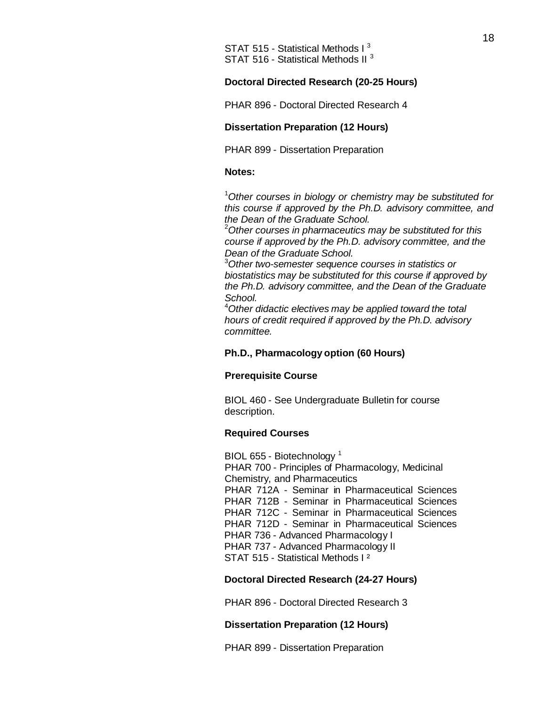# **Doctoral Directed Research (20-25 Hours)**

[PHAR 896](http://bulletin.sc.edu/preview_course_nopop.php?catoid=35&amp%3Bamp%3Bamp%3Bcoid=76485) - Doctoral Directed Research 4

# **Dissertation Preparation (12 Hours)**

PHAR 899 - Dissertation [Preparation](http://bulletin.sc.edu/preview_course_nopop.php?catoid=35&amp%3Bamp%3Bamp%3Bcoid=76486) 

#### **Notes:**

1 *Other courses in biology or chemistry may be substituted for this course if approved by the Ph.D. advisory committee, and the Dean of the Graduate School.* <sup>2</sup>

*Other courses in pharmaceutics may be substituted for this course if approved by the Ph.D. advisory committee, and the* **Dean** of the Graduate School.

*Other two-semester sequence courses in statistics or biostatistics may be substituted for this course if approved by the Ph.D. advisory committee, and the Dean of the Graduate School.* <sup>4</sup>

*Other didactic electives may be applied toward the total hours of credit required if approved by the Ph.D. advisory committee.*

## **Ph.D., Pharmacology option (60 Hours)**

#### **Prerequisite Course**

BIOL 460 - See Undergraduate Bulletin for course description.

### **Required Courses**

BIOL 655 - [Biotechnology](http://bulletin.sc.edu/preview_course_nopop.php?catoid=35&amp%3Bamp%3Bamp%3Bcoid=71336)<sup>1</sup> PHAR 700 - Principles of [Pharmacology,](http://bulletin.sc.edu/preview_course_nopop.php?catoid=35&amp%3Bamp%3Bamp%3Bcoid=76444) Medicinal Chemistry, and [Pharmaceutics](http://bulletin.sc.edu/preview_course_nopop.php?catoid=35&amp%3Bamp%3Bamp%3Bcoid=76444) PHAR 712A - Seminar in [Pharmaceutical Sciences](http://bulletin.sc.edu/preview_course_nopop.php?catoid=35&amp%3Bamp%3Bamp%3Bcoid=76458) PHAR 712B - Seminar [in Pharmaceutical Sciences](http://bulletin.sc.edu/preview_course_nopop.php?catoid=35&amp%3Bamp%3Bamp%3Bcoid=76459) PHAR 712C - Seminar in [Pharmaceutical](http://bulletin.sc.edu/preview_course_nopop.php?catoid=35&amp%3Bamp%3Bamp%3Bcoid=76460) Science[s](http://bulletin.sc.edu/preview_course_nopop.php?catoid=35&amp%3Bamp%3Bamp%3Bcoid=76460) PHAR 712D - Seminar in [Pharmaceutical](http://bulletin.sc.edu/preview_course_nopop.php?catoid=35&amp%3Bamp%3Bamp%3Bcoid=76461) Science[s](http://bulletin.sc.edu/preview_course_nopop.php?catoid=35&amp%3Bamp%3Bamp%3Bcoid=76461) PHAR 736 - Advanced [Pharmacology](http://bulletin.sc.edu/preview_course_nopop.php?catoid=35&amp%3Bamp%3Bamp%3Bcoid=76474) I PHAR 737 - Advanced [Pharmacology](http://bulletin.sc.edu/preview_course_nopop.php?catoid=35&amp%3Bamp%3Bamp%3Bcoid=76475) I[I](http://bulletin.sc.edu/preview_course_nopop.php?catoid=35&amp%3Bamp%3Bamp%3Bcoid=76475) STAT 515 - [Statistical Methods](http://bulletin.sc.edu/preview_course_nopop.php?catoid=35&amp%3Bamp%3Bamp%3Bcoid=78300) I ²

# **Doctoral Directed Research (24-27 Hours)**

[PHAR 896](http://bulletin.sc.edu/preview_course_nopop.php?catoid=35&amp%3Bamp%3Bamp%3Bcoid=76485) - Doctoral Directed Research 3

#### **Dissertation Preparation (12 Hours)**

PHAR 899 - [Dissertation](http://bulletin.sc.edu/preview_course_nopop.php?catoid=35&amp%3Bamp%3Bamp%3Bcoid=76486) Preparation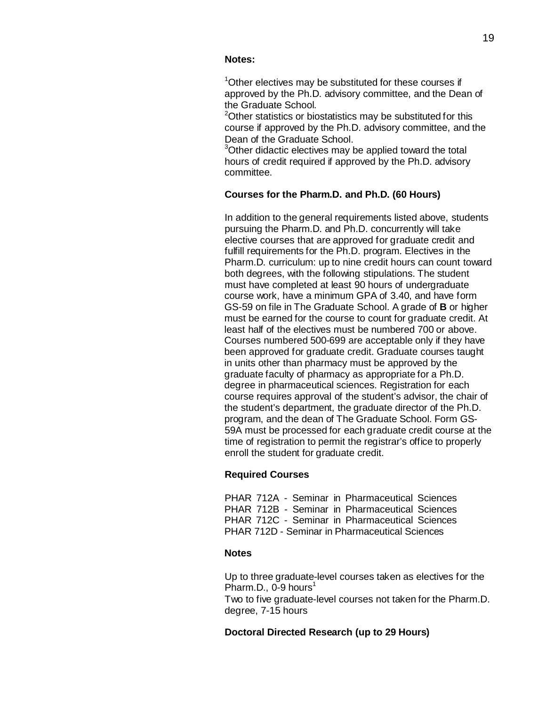# **Notes:**

<sup>1</sup>Other electives may be substituted for these courses if approved by the Ph.D. advisory committee, and the Dean of the Graduate School.

<sup>2</sup>Other statistics or biostatistics may be substituted for this course if approved by the Ph.D. advisory committee, and the Dean of the Graduate School.

<sup>3</sup>Other didactic electives may be applied toward the total hours of credit required if approved by the Ph.D. advisory committee.

# **Courses for the Pharm.D. and Ph.D. (60 Hours)**

In addition to the general requirements listed above, students pursuing the Pharm.D. and Ph.D. concurrently will take elective courses that are approved for graduate credit and fulfill requirements for the Ph.D. program. Electives in the Pharm.D. curriculum: up to nine credit hours can count toward both degrees, with the following stipulations. The student must have completed at least 90 hours of undergraduate course work, have a minimum GPA of 3.40, and have form GS-59 on file in The Graduate School. A grade of **B** or higher must be earned for the course to count for graduate credit. At least half of the electives must be numbered 700 or above. Courses numbered 500-699 are acceptable only if they have been approved for graduate credit. Graduate courses taught in units other than pharmacy must be approved by the graduate faculty of pharmacy as appropriate for a Ph.D. degree in pharmaceutical sciences. Registration for each course requires approval of the student's advisor, the chair of the student's department, the graduate director of the Ph.D. program, and the dean of The Graduate School. Form GS-59A must be processed for each graduate credit course at the time of registration to permit the registrar's office to properly enroll the student for graduate credit.

# **Required Courses**

PHAR 712A - Seminar in [Pharmaceutical Sciences](http://bulletin.sc.edu/preview_course_nopop.php?catoid=35&amp%3Bamp%3Bamp%3Bcoid=76458) PHAR 712B - Seminar in [Pharmaceutical Sciences](http://bulletin.sc.edu/preview_course_nopop.php?catoid=35&amp%3Bamp%3Bamp%3Bcoid=76459) PHAR 712C - Seminar in [Pharmaceutical](http://bulletin.sc.edu/preview_course_nopop.php?catoid=35&amp%3Bamp%3Bamp%3Bcoid=76460) Science[s](http://bulletin.sc.edu/preview_course_nopop.php?catoid=35&amp%3Bamp%3Bamp%3Bcoid=76460) PHAR 712D - Seminar in [Pharmaceutical](http://bulletin.sc.edu/preview_course_nopop.php?catoid=35&amp%3Bamp%3Bamp%3Bcoid=76461) Sciences

# **Notes**

Up to three graduate-level courses taken as electives for the Pharm.D.,  $0-9$  hours<sup>1</sup> Two to five graduate-level courses not taken for the Pharm.D. degree, 7-15 hours

# **Doctoral Directed Research (up to 29 Hours)**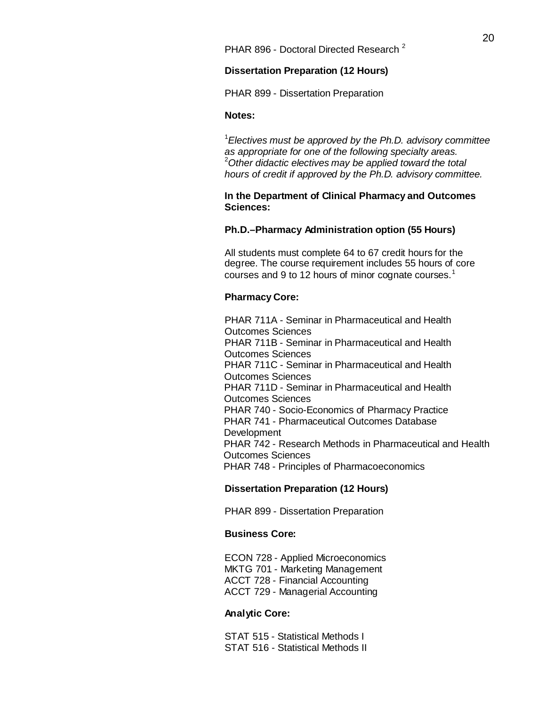[PHAR 896](http://bulletin.sc.edu/preview_course_nopop.php?catoid=35&amp%3Bamp%3Bamp%3Bcoid=76485) - Doctoral Directed Research<sup>2</sup>

# **Dissertation Preparation (12 Hours)**

PHAR 899 - Dissertation [Preparation](http://bulletin.sc.edu/preview_course_nopop.php?catoid=35&amp%3Bamp%3Bamp%3Bcoid=76486) 

## **Notes:**

1 *Electives must be approved by the Ph.D. advisory committee as appropriate for one of the following specialty areas.* 2 *Other didactic electives may be applied toward the total hours of credit if approved by the Ph.D. advisory committee.*

# **In the Department of Clinical Pharmacy and Outcomes Sciences:**

# **Ph.D.–Pharmacy Administration option (55 Hours)**

All students must complete 64 to 67 credit hours for the degree. The course requirement includes 55 hours of core courses and 9 to 12 hours of minor cognate courses.<sup>1</sup>

# **Pharmacy Core:**

PHAR 711A - Seminar in [Pharmaceutical](http://bulletin.sc.edu/preview_course_nopop.php?catoid=35&amp%3Bamp%3Bamp%3Bcoid=76454) and Health [Outcomes](http://bulletin.sc.edu/preview_course_nopop.php?catoid=35&amp%3Bamp%3Bamp%3Bcoid=76454) Sciences PHAR 711B - Seminar in [Pharmaceutical](http://bulletin.sc.edu/preview_course_nopop.php?catoid=35&amp%3Bamp%3Bamp%3Bcoid=76455) and Health [Outcomes](http://bulletin.sc.edu/preview_course_nopop.php?catoid=35&amp%3Bamp%3Bamp%3Bcoid=76455) Sciences PHAR 711C - Seminar in [Pharmaceutical](http://bulletin.sc.edu/preview_course_nopop.php?catoid=35&amp%3Bamp%3Bamp%3Bcoid=76456) and Health [Outcomes](http://bulletin.sc.edu/preview_course_nopop.php?catoid=35&amp%3Bamp%3Bamp%3Bcoid=76456) Sciences PHAR 711D - Seminar in [Pharmaceutical](http://bulletin.sc.edu/preview_course_nopop.php?catoid=35&amp%3Bamp%3Bamp%3Bcoid=76457) and Health [Outcomes](http://bulletin.sc.edu/preview_course_nopop.php?catoid=35&amp%3Bamp%3Bamp%3Bcoid=76457) Sciences PHAR 740 - [Socio-Economics](http://bulletin.sc.edu/preview_course_nopop.php?catoid=35&amp%3Bamp%3Bamp%3Bcoid=76477) of Pharmacy Practic[e](http://bulletin.sc.edu/preview_course_nopop.php?catoid=35&amp%3Bamp%3Bamp%3Bcoid=76477) PHAR 741 - [Pharmaceutical Outcomes](http://bulletin.sc.edu/preview_course_nopop.php?catoid=35&amp%3Bamp%3Bamp%3Bcoid=76478) Databas[e](http://bulletin.sc.edu/preview_course_nopop.php?catoid=35&amp%3Bamp%3Bamp%3Bcoid=76478) [Development](http://bulletin.sc.edu/preview_course_nopop.php?catoid=35&amp%3Bamp%3Bamp%3Bcoid=76478) PHAR 742 - Research Methods in [Pharmaceutical and](http://bulletin.sc.edu/preview_course_nopop.php?catoid=35&amp%3Bamp%3Bamp%3Bcoid=76479) Health [Outcomes](http://bulletin.sc.edu/preview_course_nopop.php?catoid=35&amp%3Bamp%3Bamp%3Bcoid=76479) Sciences PHAR 748 - Principles of [Pharmacoeconomics](http://bulletin.sc.edu/preview_course_nopop.php?catoid=35&amp%3Bamp%3Bamp%3Bcoid=76483)

# **Dissertation Preparation (12 Hours)**

PHAR 899 - Dissertation [Preparation](http://bulletin.sc.edu/preview_course_nopop.php?catoid=35&amp%3Bamp%3Bamp%3Bcoid=76486) 

# **Business Core:**

ECON 728 - Applied [Microeconomics](http://bulletin.sc.edu/preview_course_nopop.php?catoid=35&amp%3Bamp%3Bamp%3Bcoid=72335) MKTG 701 - Marketing [Management](http://bulletin.sc.edu/preview_course_nopop.php?catoid=35&amp%3Bamp%3Bamp%3Bcoid=75624)  ACCT 728 - [Financial Accounting](http://bulletin.sc.edu/preview_course_nopop.php?catoid=35&amp%3Bamp%3Bamp%3Bcoid=70610)  ACCT 729 - Managerial [Accounting](http://bulletin.sc.edu/preview_course_nopop.php?catoid=35&amp%3Bamp%3Bamp%3Bcoid=70611)

# **Analytic Core:**

STAT 515 - [Statistical Methods](http://bulletin.sc.edu/preview_course_nopop.php?catoid=35&amp%3Bamp%3Bamp%3Bcoid=78300) [I](http://bulletin.sc.edu/preview_course_nopop.php?catoid=35&amp%3Bamp%3Bamp%3Bcoid=78300) STAT 516 - [Statistical Methods](http://bulletin.sc.edu/preview_course_nopop.php?catoid=35&amp%3Bamp%3Bamp%3Bcoid=78302) II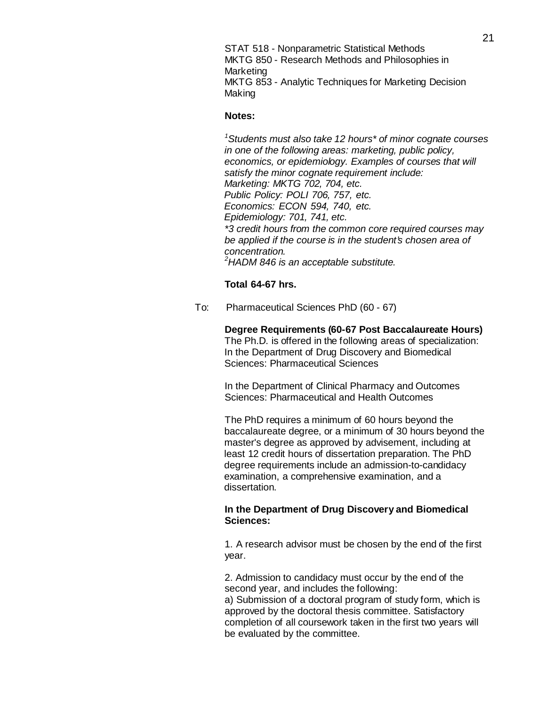STAT 518 - Nonparametric [Statistical Methods](http://bulletin.sc.edu/preview_course_nopop.php?catoid=35&amp%3Bamp%3Bamp%3Bcoid=78306) MKTG 850 - Research Methods and [Philosophies](http://bulletin.sc.edu/preview_course_nopop.php?catoid=35&amp%3Bamp%3Bamp%3Bcoid=75636) i[n](http://bulletin.sc.edu/preview_course_nopop.php?catoid=35&amp%3Bamp%3Bamp%3Bcoid=75636) [Marketing](http://bulletin.sc.edu/preview_course_nopop.php?catoid=35&amp%3Bamp%3Bamp%3Bcoid=75636) MKTG 853 - Analytic [Techniques](http://bulletin.sc.edu/preview_course_nopop.php?catoid=35&amp%3Bamp%3Bamp%3Bcoid=75639) for Marketing Decision [Making](http://bulletin.sc.edu/preview_course_nopop.php?catoid=35&amp%3Bamp%3Bamp%3Bcoid=75639)

#### **Notes:**

*1 Students must also take 12 hours\* of minor cognate courses in one of the following areas: marketing, public policy, economics, or epidemiology. Examples of courses that will satisfy the minor cognate requirement include: Marketing: MKTG 702, 704, etc. Public Policy: POLI 706, 757, etc. Economics: ECON 594, 740, etc. Epidemiology: 701, 741, etc. \*3 credit hours from the common core required courses may be applied if the course is in the student's chosen area of concentration. 2 HADM 846 is an acceptable substitute.*

# **Total 64-67 hrs.**

To: Pharmaceutical Sciences PhD (60 - 67)

**Degree Requirements (60-67 Post Baccalaureate Hours)**  The Ph.D. is offered in the following areas of specialization: In the Department of Drug Discovery and Biomedical Sciences: Pharmaceutical Sciences

In the Department of Clinical Pharmacy and Outcomes Sciences: Pharmaceutical and Health Outcomes

The PhD requires a minimum of 60 hours beyond the baccalaureate degree, or a minimum of 30 hours beyond the master's degree as approved by advisement, including at least 12 credit hours of dissertation preparation. The PhD degree requirements include an admission-to-candidacy examination, a comprehensive examination, and a dissertation.

# **In the Department of Drug Discovery and Biomedical Sciences:**

1. A research advisor must be chosen by the end of the first year.

2. Admission to candidacy must occur by the end of the second year, and includes the following: a) Submission of a doctoral program of study form, which is approved by the doctoral thesis committee. Satisfactory completion of all coursework taken in the first two years will be evaluated by the committee.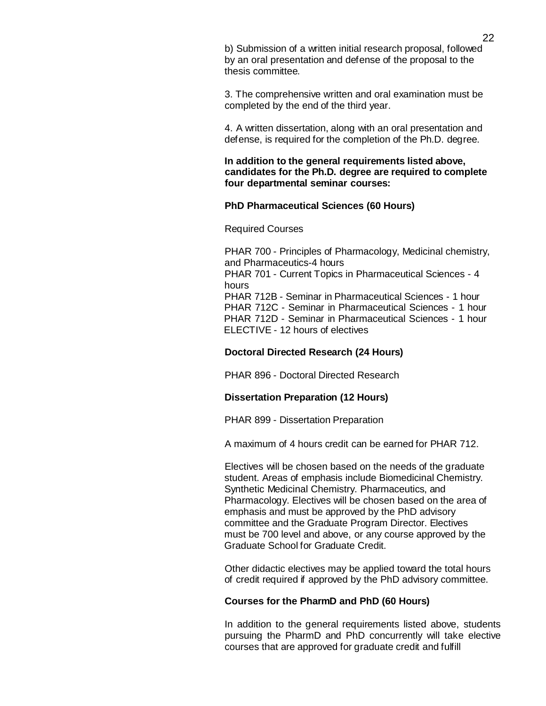b) Submission of a written initial research proposal, followed by an oral presentation and defense of the proposal to the thesis committee.

3. The comprehensive written and oral examination must be completed by the end of the third year.

4. A written dissertation, along with an oral presentation and defense, is required for the completion of the Ph.D. degree.

# **In addition to the general requirements listed above, candidates for the Ph.D. degree are required to complete four departmental seminar courses:**

## **PhD Pharmaceutical Sciences (60 Hours)**

#### Required Courses

PHAR 700 - Principles of Pharmacology, Medicinal chemistry, and Pharmaceutics-4 hours PHAR 701 - Current Topics in Pharmaceutical Sciences - 4 hours PHAR 712B - Seminar in Pharmaceutical Sciences - 1 hour PHAR 712C - Seminar in Pharmaceutical Sciences - 1 hour PHAR 712D - Seminar in Pharmaceutical Sciences - 1 hour ELECTIVE - 12 hours of electives

# **Doctoral Directed Research (24 Hours)**

PHAR 896 - Doctoral Directed Research

### **Dissertation Preparation (12 Hours)**

PHAR 899 - Dissertation Preparation

A maximum of 4 hours credit can be earned for PHAR 712.

Electives will be chosen based on the needs of the graduate student. Areas of emphasis include Biomedicinal Chemistry. Synthetic Medicinal Chemistry. Pharmaceutics, and Pharmacology. Electives will be chosen based on the area of emphasis and must be approved by the PhD advisory committee and the Graduate Program Director. Electives must be 700 level and above, or any course approved by the Graduate School for Graduate Credit.

Other didactic electives may be applied toward the total hours of credit required if approved by the PhD advisory committee.

### **Courses for the PharmD and PhD (60 Hours)**

In addition to the general requirements listed above, students pursuing the PharmD and PhD concurrently will take elective courses that are approved for graduate credit and fulfill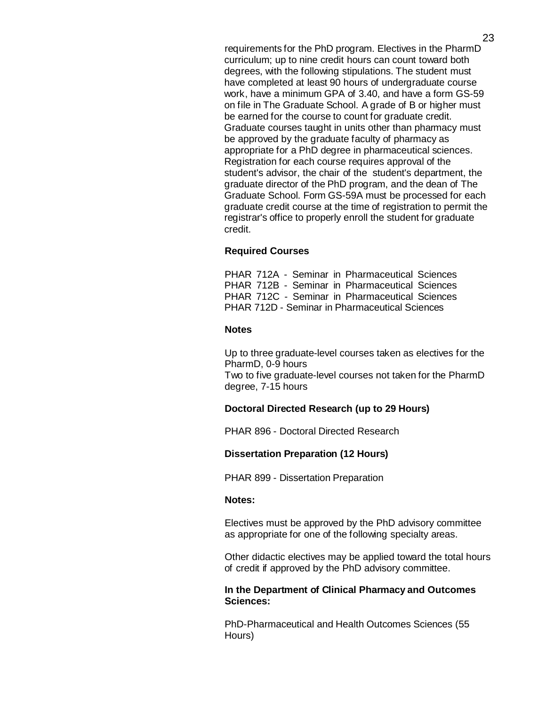requirements for the PhD program. Electives in the PharmD curriculum; up to nine credit hours can count toward both degrees, with the following stipulations. The student must have completed at least 90 hours of undergraduate course work, have a minimum GPA of 3.40, and have a form GS-59 on file in The Graduate School. A grade of B or higher must be earned for the course to count for graduate credit. Graduate courses taught in units other than pharmacy must be approved by the graduate faculty of pharmacy as appropriate for a PhD degree in pharmaceutical sciences. Registration for each course requires approval of the student's advisor, the chair of the student's department, the graduate director of the PhD program, and the dean of The Graduate School. Form GS-59A must be processed for each graduate credit course at the time of registration to permit the registrar's office to properly enroll the student for graduate credit.

# **Required Courses**

PHAR 712A - Seminar in Pharmaceutical Sciences PHAR 712B - Seminar in Pharmaceutical Sciences PHAR 712C - Seminar in Pharmaceutical Sciences PHAR 712D - Seminar in Pharmaceutical Sciences

## **Notes**

Up to three graduate-level courses taken as electives for the PharmD, 0-9 hours Two to five graduate-level courses not taken for the PharmD degree, 7-15 hours

## **Doctoral Directed Research (up to 29 Hours)**

PHAR 896 - Doctoral Directed Research

#### **Dissertation Preparation (12 Hours)**

PHAR 899 - Dissertation Preparation

# **Notes:**

Electives must be approved by the PhD advisory committee as appropriate for one of the following specialty areas.

Other didactic electives may be applied toward the total hours of credit if approved by the PhD advisory committee.

## **In the Department of Clinical Pharmacy and Outcomes Sciences:**

PhD-Pharmaceutical and Health Outcomes Sciences (55 Hours)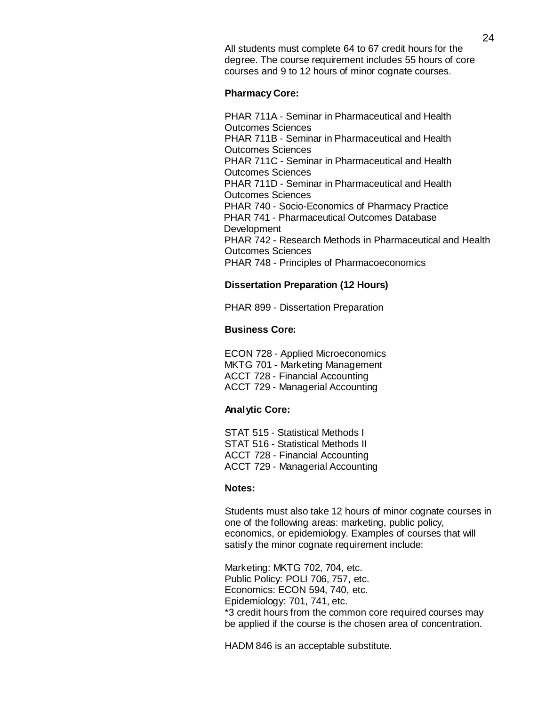All students must complete 64 to 67 credit hours for the degree. The course requirement includes 55 hours of core courses and 9 to 12 hours of minor cognate courses.

## **Pharmacy Core:**

PHAR 711A - Seminar in Pharmaceutical and Health Outcomes Sciences PHAR 711B - Seminar in Pharmaceutical and Health Outcomes Sciences PHAR 711C - Seminar in Pharmaceutical and Health Outcomes Sciences PHAR 711D - Seminar in Pharmaceutical and Health Outcomes Sciences PHAR 740 - Socio-Economics of Pharmacy Practice PHAR 741 - Pharmaceutical Outcomes Database Development PHAR 742 - Research Methods in Pharmaceutical and Health Outcomes Sciences PHAR 748 - Principles of Pharmacoeconomics

# **Dissertation Preparation (12 Hours)**

PHAR 899 - Dissertation Preparation

# **Business Core:**

ECON 728 - Applied Microeconomics MKTG 701 - Marketing Management ACCT 728 - Financial Accounting ACCT 729 - Managerial Accounting

### **Analytic Core:**

STAT 515 - Statistical Methods I STAT 516 - Statistical Methods II ACCT 728 - Financial Accounting ACCT 729 - Managerial Accounting

### **Notes:**

Students must also take 12 hours of minor cognate courses in one of the following areas: marketing, public policy, economics, or epidemiology. Examples of courses that will satisfy the minor cognate requirement include:

Marketing: MKTG 702, 704, etc. Public Policy: POLI 706, 757, etc. Economics: ECON 594, 740, etc. Epidemiology: 701, 741, etc. \*3 credit hours from the common core required courses may be applied if the course is the chosen area of concentration.

HADM 846 is an acceptable substitute.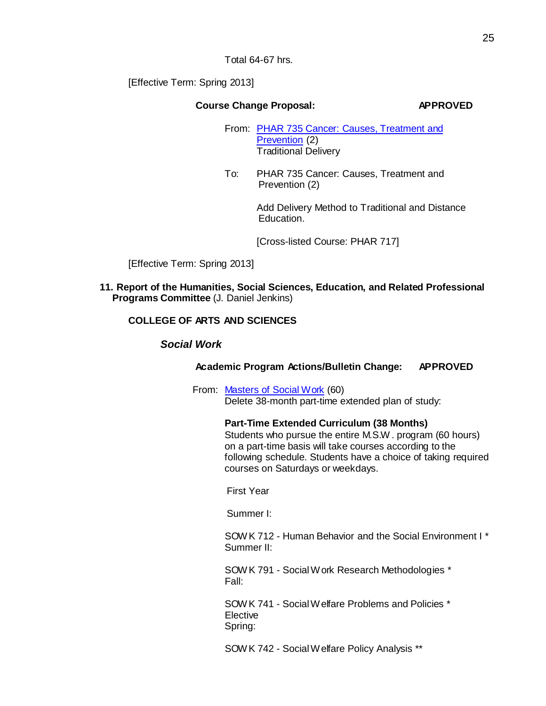Total 64-67 hrs.

[Effective Term: Spring 2013]

# **Course Change Proposal: APPROVED**

- From: [PHAR 735](http://gradschool.sc.edu/facstaff/gradcouncil/2012/SCCP%20735%20Cancer%20Causes%2CTrtmnt%20%26%20Prventn%2020121115_Redacted.pdf) Cancer: Causes, Treatment and [Prevention](http://gradschool.sc.edu/facstaff/gradcouncil/2012/SCCP%20735%20Cancer%20Causes%2CTrtmnt%20%26%20Prventn%2020121115_Redacted.pdf) (2) Traditional Delivery
- To: PHAR 735 Cancer: Causes, Treatment and Prevention (2)

Add Delivery Method to Traditional and Distance Education.

[Cross-listed Course: PHAR 717]

[Effective Term: Spring 2013]

**11. Report of the Humanities, Social Sciences, Education, and Related Professional Programs Committee** (J. Daniel Jenkins)

# **COLLEGE OF ARTS AND SCIENCES**

*Social Work*

# **Academic Program Actions/Bulletin Change: APPROVED**

From: [Masters](http://gradschool.sc.edu/facstaff/gradcouncil/2012/MSW%20APA%20BCH_Redacted.pdf) of Social Work (60) Delete 38-month part-time extended plan of study:

# **Part-Time Extended Curriculum (38 Months)**

Students who pursue the entire M.S.W . program (60 hours) on a part-time basis will take courses according to the following schedule. Students have a choice of taking required courses on Saturdays or weekdays.

First Year

Summer I:

SOWK 712 - Human Behavior and the Social [Environment I](http://bulletin.sc.edu/preview_course_nopop.php?catoid=35&amp%3Bamp%3Bamp%3Bcoid=78017) \* Summer II:

SOWK 791 - SocialWork Research [Methodologies](http://bulletin.sc.edu/preview_course_nopop.php?catoid=35&amp%3Bamp%3Bamp%3Bcoid=78069) \* Fall:

SOWK 741 - [SocialWelfare](http://bulletin.sc.edu/preview_course_nopop.php?catoid=35&amp%3Bamp%3Bamp%3Bcoid=78031) Problems and Policies \* Elective Spring:

SOWK 742 - [SocialWelfare](http://bulletin.sc.edu/preview_course_nopop.php?catoid=35&amp%3Bamp%3Bamp%3Bcoid=78032) Policy Analysis \*\*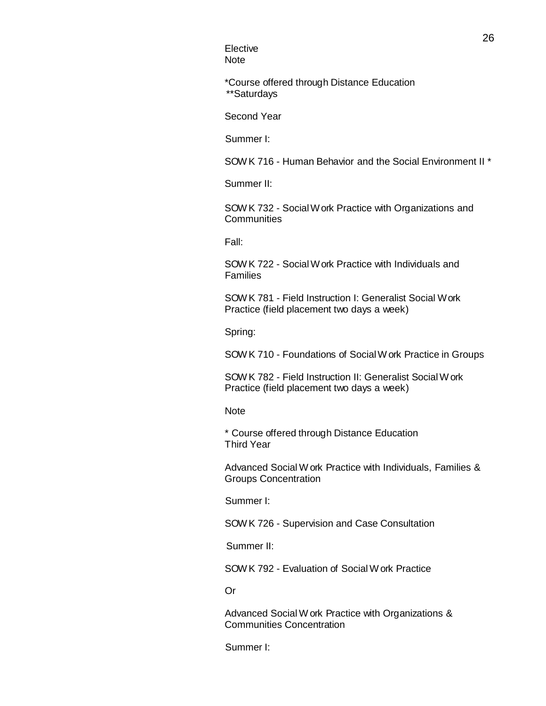**Elective** Note

\*Course offered through Distance Education \*\*Saturdays

Second Year

Summer I:

SOWK 716 - Human Behavior and the Social [Environment II](http://bulletin.sc.edu/preview_course_nopop.php?catoid=35&amp%3Bamp%3Bamp%3Bcoid=78019) \*

Summer II:

SOW K 732 - Social W ork Practice with [Organizations](http://bulletin.sc.edu/preview_course_nopop.php?catoid=35&amp%3Bamp%3Bamp%3Bcoid=78026) and **[Communities](http://bulletin.sc.edu/preview_course_nopop.php?catoid=35&amp%3Bamp%3Bamp%3Bcoid=78026)** 

Fall:

SOWK 722 - [SocialWork](http://bulletin.sc.edu/preview_course_nopop.php?catoid=35&amp%3Bamp%3Bamp%3Bcoid=78021) Practice with Individuals and [Families](http://bulletin.sc.edu/preview_course_nopop.php?catoid=35&amp%3Bamp%3Bamp%3Bcoid=78021)

SOWK 781 - Field Instruction [I: Generalist](http://bulletin.sc.edu/preview_course_nopop.php?catoid=35&amp%3Bamp%3Bamp%3Bcoid=78063) Social Work [Practice](http://bulletin.sc.edu/preview_course_nopop.php?catoid=35&amp%3Bamp%3Bamp%3Bcoid=78063) (field placement two days a week)

Spring:

SOWK 710 - [Foundations](http://bulletin.sc.edu/preview_course_nopop.php?catoid=35&amp%3Bamp%3Bamp%3Bcoid=78016) of SocialW ork Practice in Groups

SOWK 782 - Field Instruction II: Generalist [SocialWork](http://bulletin.sc.edu/preview_course_nopop.php?catoid=35&amp%3Bamp%3Bamp%3Bcoid=78064) [Practice](http://bulletin.sc.edu/preview_course_nopop.php?catoid=35&amp%3Bamp%3Bamp%3Bcoid=78064) (field placement two days a week)

Note

\* Course offered through Distance Education Third Year

Advanced Social W ork Practice with Individuals, Families & Groups Concentration

Summer I:

SOWK 726 - Supervision and Case [Consultation](http://bulletin.sc.edu/preview_course_nopop.php?catoid=35&amp%3Bamp%3Bamp%3Bcoid=78025)

Summer II:

SOWK 792 - [Evaluation](http://bulletin.sc.edu/preview_course_nopop.php?catoid=35&amp%3Bamp%3Bamp%3Bcoid=78070) of Social Work Practice

Or

Advanced Social W ork Practice with Organizations & Communities Concentration

Summer I: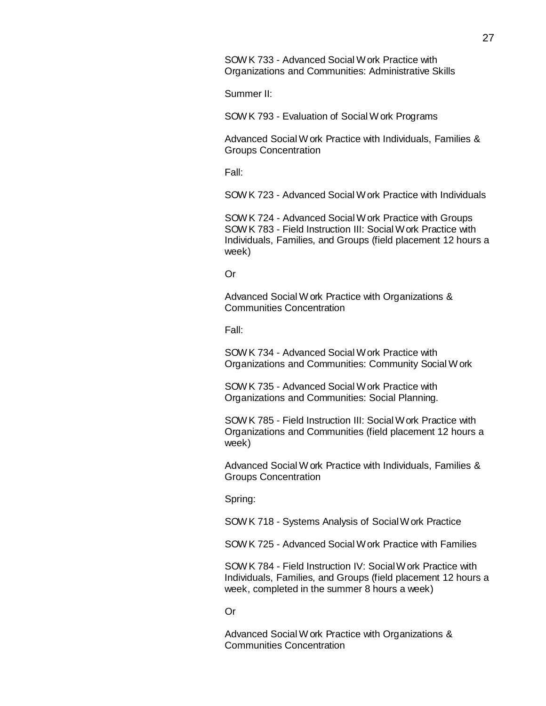SOWK 733 - [Advanced](http://bulletin.sc.edu/preview_course_nopop.php?catoid=35&amp%3Bamp%3Bamp%3Bcoid=78027) Social Work Practice with Organizations and [Communities: Administrative](http://bulletin.sc.edu/preview_course_nopop.php?catoid=35&amp%3Bamp%3Bamp%3Bcoid=78027) Skills

Summer II:

SOWK 793 - [Evaluation](http://bulletin.sc.edu/preview_course_nopop.php?catoid=35&amp%3Bamp%3Bamp%3Bcoid=78071) of Social Work Programs

Advanced Social W ork Practice with Individuals, Families & Groups Concentration

Fall:

SOWK 723 - Advanced Social Work Practice with [Individuals](http://bulletin.sc.edu/preview_course_nopop.php?catoid=35&amp%3Bamp%3Bamp%3Bcoid=78022)

SOWK 724 - [Advanced](http://bulletin.sc.edu/preview_course_nopop.php?catoid=35&amp%3Bamp%3Bamp%3Bcoid=78023) Social Work Practice with Group[s](http://bulletin.sc.edu/preview_course_nopop.php?catoid=35&amp%3Bamp%3Bamp%3Bcoid=78023) SOWK 783 - Field [Instruction](http://bulletin.sc.edu/preview_course_nopop.php?catoid=35&amp%3Bamp%3Bamp%3Bcoid=78065) III: Social Work Practice wit[h](http://bulletin.sc.edu/preview_course_nopop.php?catoid=35&amp%3Bamp%3Bamp%3Bcoid=78065) [Individuals,](http://bulletin.sc.edu/preview_course_nopop.php?catoid=35&amp%3Bamp%3Bamp%3Bcoid=78065) Families, and Groups (field placement 12 hours a week)

### Or

Advanced Social W ork Practice with Organizations & Communities Concentration

Fall:

SOWK 734 - [Advanced](http://bulletin.sc.edu/preview_course_nopop.php?catoid=35&amp%3Bamp%3Bamp%3Bcoid=78028) Social Work Practice with Organizations and [Communities: Community](http://bulletin.sc.edu/preview_course_nopop.php?catoid=35&amp%3Bamp%3Bamp%3Bcoid=78028) Social Work

SOWK 735 - [Advanced](http://bulletin.sc.edu/preview_course_nopop.php?catoid=35&amp%3Bamp%3Bamp%3Bcoid=78029) Social Work Practice with Organizations and [Communities: Social](http://bulletin.sc.edu/preview_course_nopop.php?catoid=35&amp%3Bamp%3Bamp%3Bcoid=78029) Planning.

SOWK 785 - Field [Instruction](http://bulletin.sc.edu/preview_course_nopop.php?catoid=35&amp%3Bamp%3Bamp%3Bcoid=78067) III: Social Work Practice wit[h](http://bulletin.sc.edu/preview_course_nopop.php?catoid=35&amp%3Bamp%3Bamp%3Bcoid=78067) [Organizations](http://bulletin.sc.edu/preview_course_nopop.php?catoid=35&amp%3Bamp%3Bamp%3Bcoid=78067) and Communities (field placement 12 hours a week)

Advanced Social W ork Practice with Individuals, Families & Groups Concentration

Spring:

SOWK 718 - Systems Analysis of [SocialWork](http://bulletin.sc.edu/preview_course_nopop.php?catoid=35&amp%3Bamp%3Bamp%3Bcoid=78020) Practice

SOWK 725 - [Advanced](http://bulletin.sc.edu/preview_course_nopop.php?catoid=35&amp%3Bamp%3Bamp%3Bcoid=78024) Social Work Practice with Families

SOWK 784 - Field Instruction IV: [SocialWork](http://bulletin.sc.edu/preview_course_nopop.php?catoid=35&amp%3Bamp%3Bamp%3Bcoid=78066) Practice wit[h](http://bulletin.sc.edu/preview_course_nopop.php?catoid=35&amp%3Bamp%3Bamp%3Bcoid=78066) [Individuals,](http://bulletin.sc.edu/preview_course_nopop.php?catoid=35&amp%3Bamp%3Bamp%3Bcoid=78066) Families, and Groups (field placement 12 hours a week, completed in the summer 8 hours a week)

Or

Advanced Social W ork Practice with Organizations & Communities Concentration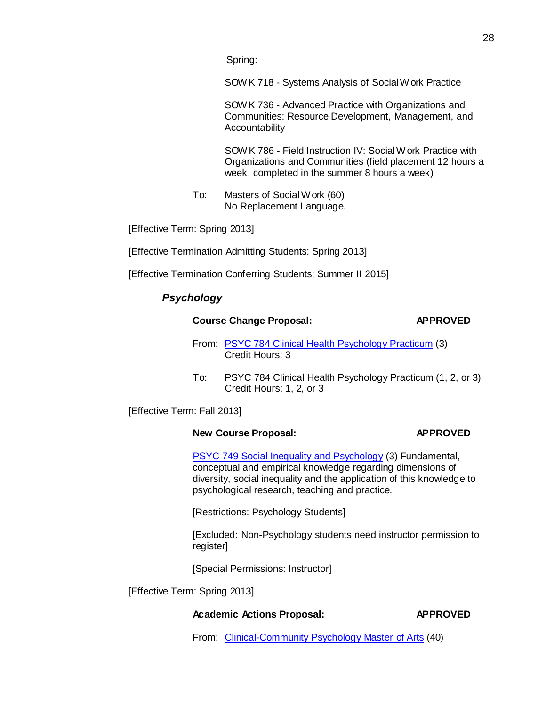Spring:

SOW K 718 - Systems Analysis of Social Work Practice

SOWK 736 - Advanced Practice with [Organizations](http://bulletin.sc.edu/preview_course_nopop.php?catoid=35&amp%3Bamp%3Bamp%3Bcoid=78030) an[d](http://bulletin.sc.edu/preview_course_nopop.php?catoid=35&amp%3Bamp%3Bamp%3Bcoid=78030) Communities: Resource [Development,](http://bulletin.sc.edu/preview_course_nopop.php?catoid=35&amp%3Bamp%3Bamp%3Bcoid=78030) Management, an[d](http://bulletin.sc.edu/preview_course_nopop.php?catoid=35&amp%3Bamp%3Bamp%3Bcoid=78030) [Accountability](http://bulletin.sc.edu/preview_course_nopop.php?catoid=35&amp%3Bamp%3Bamp%3Bcoid=78030)

SOWK 786 - Field Instruction IV: [SocialWork](http://bulletin.sc.edu/preview_course_nopop.php?catoid=35&amp%3Bamp%3Bamp%3Bcoid=78068) Practice wit[h](http://bulletin.sc.edu/preview_course_nopop.php?catoid=35&amp%3Bamp%3Bamp%3Bcoid=78068) [Organizations](http://bulletin.sc.edu/preview_course_nopop.php?catoid=35&amp%3Bamp%3Bamp%3Bcoid=78068) and Communities (field placement 12 hours a week, completed in the summer 8 hours a week)

To: Masters of Social Work (60) No Replacement Language.

[Effective Term: Spring 2013]

[Effective Termination Admitting Students: Spring 2013]

[Effective Termination Conferring Students: Summer II 2015]

# *Psychology*

# **Course Change Proposal: APPROVED**

- From: PSYC 784 Clinical Health [Psychology](http://gradschool.sc.edu/facstaff/gradcouncil/2012/PSYC%20784%20Clinical%20HLTH%20Practicum%20CCP%2020121114_Redacted.pdf) Practicum (3) Credit Hours: 3
- To: PSYC 784 Clinical Health Psychology Practicum (1, 2, or 3) Credit Hours: 1, 2, or 3

[Effective Term: Fall 2013]

# **New Course Proposal: APPROVED**

PSYC 749 [Social Inequality](http://gradschool.sc.edu/facstaff/gradcouncil/2012/PSYC%20749%20Social%20Inequality%20and%20Psychology%20NCP%2020121114_Redacted.pdf) and Psychology (3) Fundamental, conceptual and empirical knowledge regarding dimensions of diversity, social inequality and the application of this knowledge to psychological research, teaching and practice.

[Restrictions: Psychology Students]

[Excluded: Non-Psychology students need instructor permission to register]

[Special Permissions: Instructor]

[Effective Term: Spring 2013]

# **Academic Actions Proposal: APPROVED**

From: [Clinical-Community](http://gradschool.sc.edu/facstaff/gradcouncil/2012/Clinical-Community%20Psychology%20Masters%20and%20PhD%20APA%2020121114_Redacted.pdf) Psychology Master of Arts (40)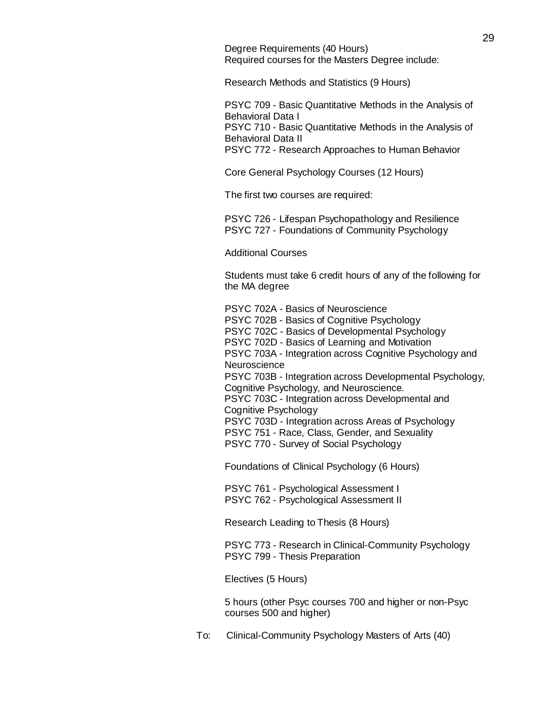Degree Requirements (40 Hours) Required courses for the Masters Degree include:

Research Methods and Statistics (9 Hours)

PSYC 709 - Basic [Quantitative](http://bulletin.sc.edu/preview_course_nopop.php?catoid=35&amp%3Bamp%3Bamp%3Bcoid=77207) Methods in the Analysis of [Behavioral Data](http://bulletin.sc.edu/preview_course_nopop.php?catoid=35&amp%3Bamp%3Bamp%3Bcoid=77207) I PSYC 710 - Basic [Quantitative](http://bulletin.sc.edu/preview_course_nopop.php?catoid=35&amp%3Bamp%3Bamp%3Bcoid=77208) Methods in the Analysis of [Behavioral Data](http://bulletin.sc.edu/preview_course_nopop.php?catoid=35&amp%3Bamp%3Bamp%3Bcoid=77208) II PSYC 772 - Research [Approaches](http://bulletin.sc.edu/preview_course_nopop.php?catoid=35&amp%3Bamp%3Bamp%3Bcoid=77237) to Human Behavior

Core General Psychology Courses (12 Hours)

The first two courses are required:

PSYC 726 - Lifespan [Psychopathology](http://bulletin.sc.edu/preview_course_nopop.php?catoid=35&amp%3Bamp%3Bamp%3Bcoid=77217) and Resilience PSYC 727 - [Foundations](http://bulletin.sc.edu/preview_course_nopop.php?catoid=35&amp%3Bamp%3Bamp%3Bcoid=77218) of Community Psychology

Additional Courses

Students must take 6 credit hours of any of the following for the MA degree

PSYC 702A - Basics of [Neuroscience](http://bulletin.sc.edu/preview_course_nopop.php?catoid=35&amp%3Bamp%3Bamp%3Bcoid=77196) [PSYC 702B](http://bulletin.sc.edu/preview_course_nopop.php?catoid=35&amp%3Bamp%3Bamp%3Bcoid=77197) - Basics of Cognitive Psychology PSYC 702C - Basics of [Developmental Psychology](http://bulletin.sc.edu/preview_course_nopop.php?catoid=35&amp%3Bamp%3Bamp%3Bcoid=77198) [PSYC 702D](http://bulletin.sc.edu/preview_course_nopop.php?catoid=35&amp%3Bamp%3Bamp%3Bcoid=77199) - Basics of Learning and Motivation [PSYC 703A](http://bulletin.sc.edu/preview_course_nopop.php?catoid=35&amp%3Bamp%3Bamp%3Bcoid=77200) - Integration across Cognitive Psychology and **[Neuroscience](http://bulletin.sc.edu/preview_course_nopop.php?catoid=35&amp%3Bamp%3Bamp%3Bcoid=77200)** PSYC 703B - Integration across [Developmental Psychology,](http://bulletin.sc.edu/preview_course_nopop.php?catoid=35&amp%3Bamp%3Bamp%3Bcoid=77201) Cognitive Psychology, and [Neuroscience.](http://bulletin.sc.edu/preview_course_nopop.php?catoid=35&amp%3Bamp%3Bamp%3Bcoid=77201) PSYC 703C - Integration across [Developmental and](http://bulletin.sc.edu/preview_course_nopop.php?catoid=35&amp%3Bamp%3Bamp%3Bcoid=77202) Cognitive [Psychology](http://bulletin.sc.edu/preview_course_nopop.php?catoid=35&amp%3Bamp%3Bamp%3Bcoid=77202) [PSYC 703D](http://bulletin.sc.edu/preview_course_nopop.php?catoid=35&amp%3Bamp%3Bamp%3Bcoid=77203) - Integration across Areas of Psychology [PSYC 751](http://bulletin.sc.edu/preview_course_nopop.php?catoid=35&amp%3Bamp%3Bamp%3Bcoid=77229) - Race, Class, Gender, and Sexuality PSYC 770 - Survey of [Social Psychology](http://bulletin.sc.edu/preview_course_nopop.php?catoid=35&amp%3Bamp%3Bamp%3Bcoid=77236)

Foundations of Clinical Psychology (6 Hours)

PSYC 761 - [Psychological Assessment I](http://bulletin.sc.edu/preview_course_nopop.php?catoid=35&amp%3Bamp%3Bamp%3Bcoid=77232) PSYC 762 - [Psychological Assessment II](http://bulletin.sc.edu/preview_course_nopop.php?catoid=35&amp%3Bamp%3Bamp%3Bcoid=77233)

Research Leading to Thesis (8 Hours)

PSYC 773 - Research in [Clinical-Community](http://bulletin.sc.edu/preview_course_nopop.php?catoid=35&amp%3Bamp%3Bamp%3Bcoid=77238) Psychology PSYC 799 - Thesis [Preparation](http://bulletin.sc.edu/preview_course_nopop.php?catoid=35&amp%3Bamp%3Bamp%3Bcoid=77250)

Electives (5 Hours)

5 hours (other Psyc courses 700 and higher or non-Psyc courses 500 and higher)

To: Clinical-Community Psychology Masters of Arts (40)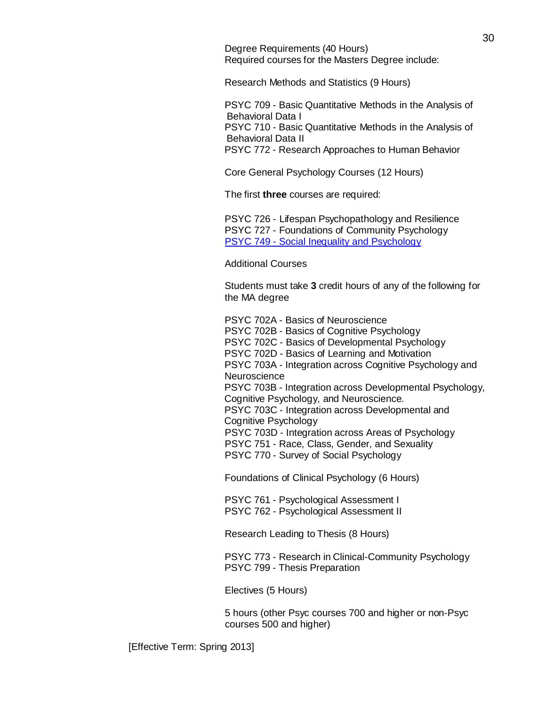Degree Requirements (40 Hours) Required courses for the Masters Degree include:

Research Methods and Statistics (9 Hours)

PSYC 709 - Basic [Quantitative](http://bulletin.sc.edu/preview_course_nopop.php?catoid=35&amp%3Bamp%3Bamp%3Bcoid=77207) Methods in the Analysis of [Behavioral Data](http://bulletin.sc.edu/preview_course_nopop.php?catoid=35&amp%3Bamp%3Bamp%3Bcoid=77207) I PSYC 710 - Basic [Quantitative](http://bulletin.sc.edu/preview_course_nopop.php?catoid=35&amp%3Bamp%3Bamp%3Bcoid=77208) Methods in the Analysis of [Behavioral Data](http://bulletin.sc.edu/preview_course_nopop.php?catoid=35&amp%3Bamp%3Bamp%3Bcoid=77208) II PSYC 772 - Research [Approaches](http://bulletin.sc.edu/preview_course_nopop.php?catoid=35&amp%3Bamp%3Bamp%3Bcoid=77237) to Human Behavior

Core General Psychology Courses (12 Hours)

The first **three** courses are required:

PSYC 726 - Lifespan [Psychopathology](http://bulletin.sc.edu/preview_course_nopop.php?catoid=35&amp%3Bamp%3Bamp%3Bcoid=77217) and Resilience PSYC 727 - [Foundations](http://bulletin.sc.edu/preview_course_nopop.php?catoid=35&amp%3Bamp%3Bamp%3Bcoid=77218) of Community Psychology PSYC 749 - Social Inequality and [Psychology](http://gradschool.sc.edu/facstaff/gradcouncil/2012/PSYC%20749%20Social%20Inequality%20and%20Psychology%20NCP%2020121114_Redacted.pdf)

Additional Courses

Students must take **3** credit hours of any of the following for the MA degree

PSYC 702A - Basics of [Neuroscience](http://bulletin.sc.edu/preview_course_nopop.php?catoid=35&amp%3Bamp%3Bamp%3Bcoid=77196) [PSYC 702B](http://bulletin.sc.edu/preview_course_nopop.php?catoid=35&amp%3Bamp%3Bamp%3Bcoid=77197) - Basics of Cognitive Psychology PSYC 702C - Basics [of Developmental Psychology](http://bulletin.sc.edu/preview_course_nopop.php?catoid=35&amp%3Bamp%3Bamp%3Bcoid=77198) [PSYC 702D](http://bulletin.sc.edu/preview_course_nopop.php?catoid=35&amp%3Bamp%3Bamp%3Bcoid=77199) - Basics of Learning and Motivation [PSYC 703A](http://bulletin.sc.edu/preview_course_nopop.php?catoid=35&amp%3Bamp%3Bamp%3Bcoid=77200) - Integration across Cognitive Psychology and **[Neuroscience](http://bulletin.sc.edu/preview_course_nopop.php?catoid=35&amp%3Bamp%3Bamp%3Bcoid=77200)** PSYC 703B - Integration across [Developmental Psychology,](http://bulletin.sc.edu/preview_course_nopop.php?catoid=35&amp%3Bamp%3Bamp%3Bcoid=77201) Cognitive Psychology, and [Neuroscience.](http://bulletin.sc.edu/preview_course_nopop.php?catoid=35&amp%3Bamp%3Bamp%3Bcoid=77201) PSYC 703C - Integration across [Developmental and](http://bulletin.sc.edu/preview_course_nopop.php?catoid=35&amp%3Bamp%3Bamp%3Bcoid=77202) Cognitive [Psychology](http://bulletin.sc.edu/preview_course_nopop.php?catoid=35&amp%3Bamp%3Bamp%3Bcoid=77202) [PSYC 703D](http://bulletin.sc.edu/preview_course_nopop.php?catoid=35&amp%3Bamp%3Bamp%3Bcoid=77203) - Integration across Areas of Psychology [PSYC 751](http://bulletin.sc.edu/preview_course_nopop.php?catoid=35&amp%3Bamp%3Bamp%3Bcoid=77229) - Race, Class, Gender, and Sexuality PSYC 770 - Survey of [Social Psychology](http://bulletin.sc.edu/preview_course_nopop.php?catoid=35&amp%3Bamp%3Bamp%3Bcoid=77236)

Foundations of Clinical Psychology (6 Hours)

PSYC 761 - [Psychological Assessment I](http://bulletin.sc.edu/preview_course_nopop.php?catoid=35&amp%3Bamp%3Bamp%3Bcoid=77232) PSYC 762 - [Psychological Assessment II](http://bulletin.sc.edu/preview_course_nopop.php?catoid=35&amp%3Bamp%3Bamp%3Bcoid=77233)

Research Leading to Thesis (8 Hours)

PSYC 773 - Research in [Clinical-Community](http://bulletin.sc.edu/preview_course_nopop.php?catoid=35&amp%3Bamp%3Bamp%3Bcoid=77238) Psychology PSYC 799 - Thesis [Preparation](http://bulletin.sc.edu/preview_course_nopop.php?catoid=35&amp%3Bamp%3Bamp%3Bcoid=77250)

Electives (5 Hours)

5 hours (other Psyc courses 700 and higher or non-Psyc courses 500 and higher)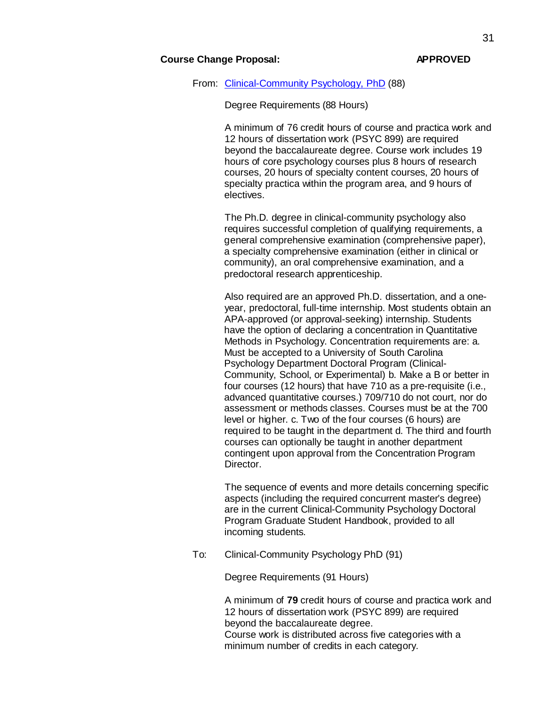# **Course Change Proposal: APPROVED**

# From: [Clinical-Community](http://gradschool.sc.edu/facstaff/gradcouncil/2012/Clinical-Community%20Psychology%20Masters%20and%20PhD%20APA%2020121114_Redacted.pdf) Psychology, PhD (88)

Degree Requirements (88 Hours)

A minimum of 76 credit hours of course and practica work and 12 hours of dissertation work (PSYC 899) are required beyond the baccalaureate degree. Course work includes 19 hours of core psychology courses plus 8 hours of research courses, 20 hours of specialty content courses, 20 hours of specialty practica within the program area, and 9 hours of electives.

The Ph.D. degree in clinical-community psychology also requires successful completion of qualifying requirements, a general comprehensive examination (comprehensive paper), a specialty comprehensive examination (either in clinical or community), an oral comprehensive examination, and a predoctoral research apprenticeship.

Also required are an approved Ph.D. dissertation, and a oneyear, predoctoral, full-time internship. Most students obtain an APA-approved (or approval-seeking) internship. Students have the option of declaring a concentration in Quantitative Methods in Psychology. Concentration requirements are: a. Must be accepted to a University of South Carolina Psychology Department Doctoral Program (Clinical-Community, School, or Experimental) b. Make a B or better in four courses (12 hours) that have 710 as a pre-requisite (i.e., advanced quantitative courses.) 709/710 do not court, nor do assessment or methods classes. Courses must be at the 700 level or higher. c. Two of the four courses (6 hours) are required to be taught in the department d. The third and fourth courses can optionally be taught in another department contingent upon approval from the Concentration Program Director.

The sequence of events and more details concerning specific aspects (including the required concurrent master's degree) are in the current Clinical-Community Psychology Doctoral Program Graduate Student Handbook, provided to all incoming students.

To: Clinical-Community Psychology PhD (91)

Degree Requirements (91 Hours)

A minimum of **79** credit hours of course and practica work and 12 hours of dissertation work (PSYC 899) are required beyond the baccalaureate degree. Course work is distributed across five categories with a minimum number of credits in each category.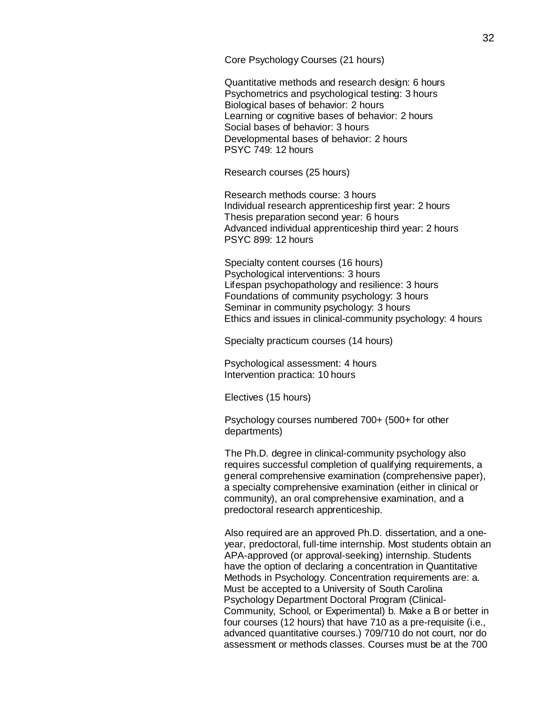Core Psychology Courses (21 hours)

Quantitative methods and research design: 6 hours Psychometrics and psychological testing: 3 hours Biological bases of behavior: 2 hours Learning or cognitive bases of behavior: 2 hours Social bases of behavior: 3 hours Developmental bases of behavior: 2 hours PSYC 749: 12 hours

Research courses (25 hours)

Research methods course: 3 hours Individual research apprenticeship first year: 2 hours Thesis preparation second year: 6 hours Advanced individual apprenticeship third year: 2 hours PSYC 899: 12 hours

Specialty content courses (16 hours) Psychological interventions: 3 hours Lifespan psychopathology and resilience: 3 hours Foundations of community psychology: 3 hours Seminar in community psychology: 3 hours Ethics and issues in clinical-community psychology: 4 hours

Specialty practicum courses (14 hours)

Psychological assessment: 4 hours Intervention practica: 10 hours

Electives (15 hours)

Psychology courses numbered 700+ (500+ for other departments)

The Ph.D. degree in clinical-community psychology also requires successful completion of qualifying requirements, a general comprehensive examination (comprehensive paper), a specialty comprehensive examination (either in clinical or community), an oral comprehensive examination, and a predoctoral research apprenticeship.

Also required are an approved Ph.D. dissertation, and a oneyear, predoctoral, full-time internship. Most students obtain an APA-approved (or approval-seeking) internship. Students have the option of declaring a concentration in Quantitative Methods in Psychology. Concentration requirements are: a. Must be accepted to a University of South Carolina Psychology Department Doctoral Program (Clinical-Community, School, or Experimental) b. Make a B or better in four courses (12 hours) that have 710 as a pre-requisite (i.e., advanced quantitative courses.) 709/710 do not court, nor do assessment or methods classes. Courses must be at the 700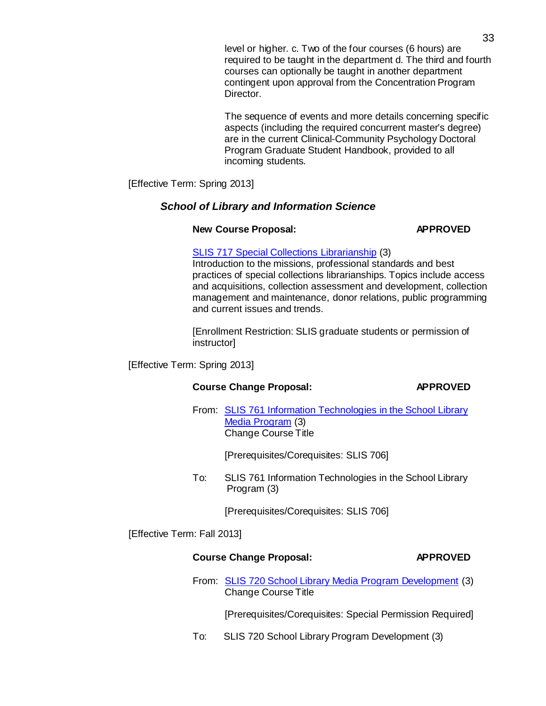level or higher. c. Two of the four courses (6 hours) are required to be taught in the department d. The third and fourth courses can optionally be taught in another department contingent upon approval from the Concentration Program Director.

The sequence of events and more details concerning specific aspects (including the required concurrent master's degree) are in the current Clinical-Community Psychology Doctoral Program Graduate Student Handbook, provided to all incoming students.

[Effective Term: Spring 2013]

# *School of Library and Information Science*

# **New Course Proposal: APPROVED**

# SLIS 717 Special Collections [Librarianship](http://gradschool.sc.edu/facstaff/gradcouncil/2012/SLIS%20717%20Special%20Collections%20Librarianship%20NCP%2020121114_Redacted.pdf) (3)

Introduction to the missions, professional standards and best practices of special collections librarianships. Topics include access and acquisitions, collection assessment and development, collection management and maintenance, donor relations, public programming and current issues and trends.

[Enrollment Restriction: SLIS graduate students or permission of instructor]

[Effective Term: Spring 2013]

# **Course Change Proposal: APPROVED**

From: SLIS 761 Information [Technologies](http://gradschool.sc.edu/facstaff/gradcouncil/2012/SLIS761%20Information%20Technologies%20in%20the%20School%20Library%20Media%20Program%2024Oct2012_Redacted.pdf) in the School Library Media [Program](http://gradschool.sc.edu/facstaff/gradcouncil/2012/SLIS761%20Information%20Technologies%20in%20the%20School%20Library%20Media%20Program%2024Oct2012_Redacted.pdf) (3) Change Course Title

[Prerequisites/Corequisites: SLIS 706]

To: SLIS 761 Information Technologies in the School Library Program (3)

[Prerequisites/Corequisites: SLIS 706]

[Effective Term: Fall 2013]

# **Course Change Proposal: APPROVED**

From: SLIS 720 School Library Media Program [Development](http://gradschool.sc.edu/facstaff/gradcouncil/2012/SLIS720%20School%20Library%20Media%20Program%20Development%2024Oct2012_Redacted.pdf) (3) Change Course Title

[Prerequisites/Corequisites: Special Permission Required]

To: SLIS 720 School Library Program Development (3)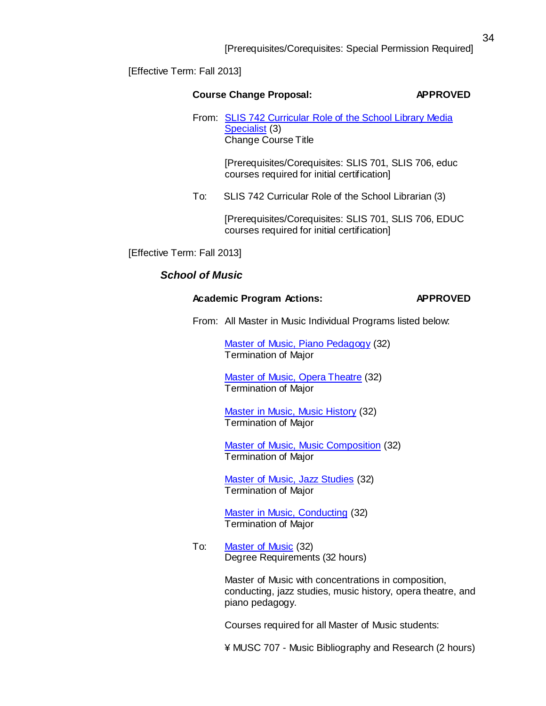[Effective Term: Fall 2013]

|     | <b>Course Change Proposal:</b>                                                                             | <b>APPROVED</b> |
|-----|------------------------------------------------------------------------------------------------------------|-----------------|
|     | From: SLIS 742 Curricular Role of the School Library Media<br>Specialist (3)<br><b>Change Course Title</b> |                 |
|     | [Prerequisites/Corequisites: SLIS 701, SLIS 706, educ<br>courses required for initial certification]       |                 |
| To: | SLIS 742 Curricular Role of the School Librarian (3)                                                       |                 |
|     | [Praraquisitas/Coraquisitas: SLIS 701 SLIS 706 EDLIC                                                       |                 |

[Prerequisites/Corequisites: SLIS 701, SLIS 706, EDUC courses required for initial certification]

[Effective Term: Fall 2013]

# *School of Music*

# **Academic Program Actions: APPROVED**

From: All Master in Music Individual Programs listed below:

Master of Music, Piano [Pedagogy](http://gradschool.sc.edu/facstaff/gradcouncil/2012/APA_MMpnoped_Term.pdf) (32) Termination of Major

Master of Music, Opera [Theatre](http://gradschool.sc.edu/facstaff/gradcouncil/2012/APA_MMopera_Term.pdf) (32) Termination of Major

Master in Music, Music [History](http://gradschool.sc.edu/facstaff/gradcouncil/2012/APA_MMhist_Term.pdf) (32) Termination of Major

Master of Music, Music [Composition](http://gradschool.sc.edu/facstaff/gradcouncil/2012/APA_MMcomp_Term.pdf) (32) Termination of Major

Master of Music, Jazz [Studies](http://gradschool.sc.edu/facstaff/gradcouncil/2012/APA_MMjazz_Term.pdf) (32) Termination of Major

Master in Music, [Conducting](http://gradschool.sc.edu/facstaff/gradcouncil/2012/APA_MMcond_Term.pdf) (32) Termination of Major

To: [Master](http://gradschool.sc.edu/facstaff/gradcouncil/2012/Master%20of%20Music%20BCH.pdf) of Music (32) Degree Requirements (32 hours)

> Master of Music with concentrations in composition, conducting, jazz studies, music history, opera theatre, and piano pedagogy.

Courses required for all Master of Music students:

¥ MUSC 707 - Music Bibliography and Research (2 hours)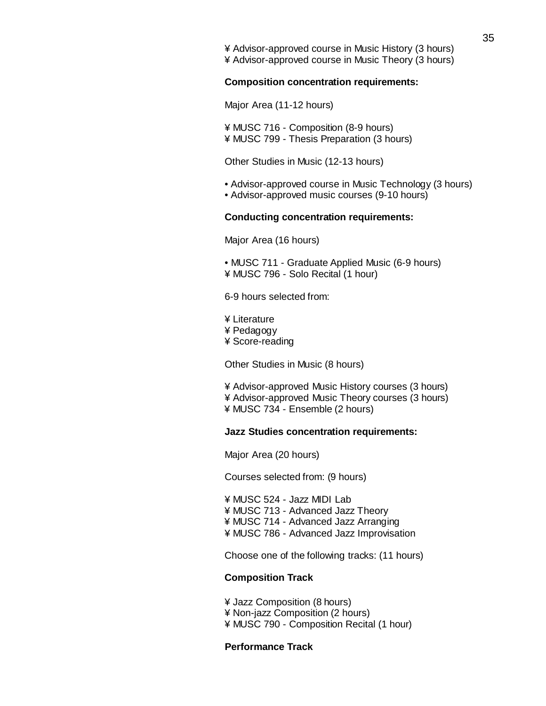¥ Advisor-approved course in Music History (3 hours) ¥ Advisor-approved course in Music Theory (3 hours)

#### **Composition concentration requirements:**

Major Area (11-12 hours)

¥ MUSC 716 - Composition (8-9 hours) ¥ MUSC 799 - Thesis Preparation (3 hours)

Other Studies in Music (12-13 hours)

- Advisor-approved course in Music Technology (3 hours)
- Advisor-approved music courses (9-10 hours)

# **Conducting concentration requirements:**

Major Area (16 hours)

• MUSC 711 - Graduate Applied Music (6-9 hours) ¥ MUSC 796 - Solo Recital (1 hour)

6-9 hours selected from:

¥ Literature ¥ Pedagogy ¥ Score-reading

Other Studies in Music (8 hours)

¥ Advisor-approved Music History courses (3 hours) ¥ Advisor-approved Music Theory courses (3 hours) ¥ MUSC 734 - Ensemble (2 hours)

## **Jazz Studies concentration requirements:**

Major Area (20 hours)

Courses selected from: (9 hours)

¥ MUSC 524 - Jazz MIDI Lab ¥ MUSC 713 - Advanced Jazz Theory ¥ MUSC 714 - Advanced Jazz Arranging ¥ MUSC 786 - Advanced Jazz Improvisation

Choose one of the following tracks: (11 hours)

#### **Composition Track**

¥ Jazz Composition (8 hours) ¥ Non-jazz Composition (2 hours) ¥ MUSC 790 - Composition Recital (1 hour)

## **Performance Track**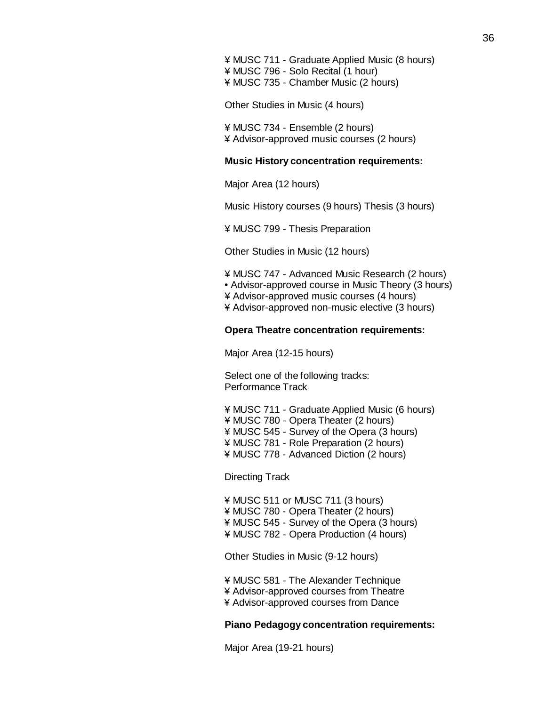¥ MUSC 711 - Graduate Applied Music (8 hours) ¥ MUSC 796 - Solo Recital (1 hour) ¥ MUSC 735 - Chamber Music (2 hours)

Other Studies in Music (4 hours)

¥ MUSC 734 - Ensemble (2 hours) ¥ Advisor-approved music courses (2 hours)

## **Music History concentration requirements:**

Major Area (12 hours)

Music History courses (9 hours) Thesis (3 hours)

¥ MUSC 799 - Thesis Preparation

Other Studies in Music (12 hours)

¥ MUSC 747 - Advanced Music Research (2 hours) • Advisor-approved course in Music Theory (3 hours) ¥ Advisor-approved music courses (4 hours) ¥ Advisor-approved non-music elective (3 hours)

#### **Opera Theatre concentration requirements:**

Major Area (12-15 hours)

Select one of the following tracks: Performance Track

¥ MUSC 711 - Graduate Applied Music (6 hours) ¥ MUSC 780 - Opera Theater (2 hours) ¥ MUSC 545 - Survey of the Opera (3 hours) ¥ MUSC 781 - Role Preparation (2 hours) ¥ MUSC 778 - Advanced Diction (2 hours)

Directing Track

¥ MUSC 511 or MUSC 711 (3 hours) ¥ MUSC 780 - Opera Theater (2 hours) ¥ MUSC 545 - Survey of the Opera (3 hours) ¥ MUSC 782 - Opera Production (4 hours)

Other Studies in Music (9-12 hours)

¥ MUSC 581 - The Alexander Technique ¥ Advisor-approved courses from Theatre ¥ Advisor-approved courses from Dance

#### **Piano Pedagogy concentration requirements:**

Major Area (19-21 hours)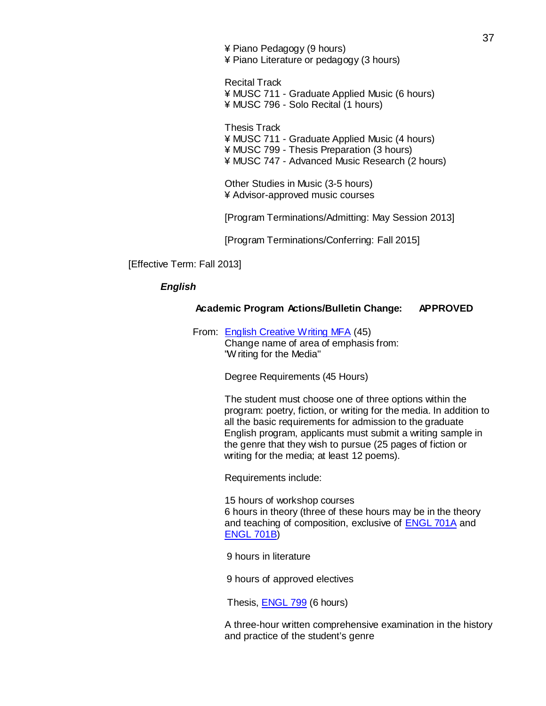¥ Piano Pedagogy (9 hours) ¥ Piano Literature or pedagogy (3 hours)

Recital Track ¥ MUSC 711 - Graduate Applied Music (6 hours) ¥ MUSC 796 - Solo Recital (1 hours)

Thesis Track ¥ MUSC 711 - Graduate Applied Music (4 hours) ¥ MUSC 799 - Thesis Preparation (3 hours) ¥ MUSC 747 - Advanced Music Research (2 hours)

Other Studies in Music (3-5 hours) ¥ Advisor-approved music courses

[Program Terminations/Admitting: May Session 2013]

[Program Terminations/Conferring: Fall 2015]

[Effective Term: Fall 2013]

### *English*

### **Academic Program Actions/Bulletin Change: APPROVED**

From: English [Creative](http://gradschool.sc.edu/facstaff/gradcouncil/2012/English%20Creative%20Writing%20MFA_Redacted.pdf) Writing MFA (45) Change name of area of emphasis from: "Writing for the Media"

Degree Requirements (45 Hours)

The student must choose one of three options within the program: poetry, fiction, or writing for the media. In addition to all the basic requirements for admission to the graduate English program, applicants must submit a writing sample in the genre that they wish to pursue (25 pages of fiction or writing for the media; at least 12 poems).

Requirements include:

15 hours of workshop courses 6 hours in theory (three of these hours may be in the theory and teaching of composition, exclusive of **ENGL 701A** and [ENGL](http://bulletin.sc.edu/preview_program.php?catoid=35&amp%3Bamp%3Bamp%3Bpoid=4041&amp%3Bamp%3Bamp%3Breturnto=3958&amp%3Bamp%3Bamp%3Btt8912) 701B)

9 hours in literature

9 hours of approved electives

Thesis, **ENGL 799** (6 hours)

A three-hour written comprehensive examination in the history and practice of the student's genre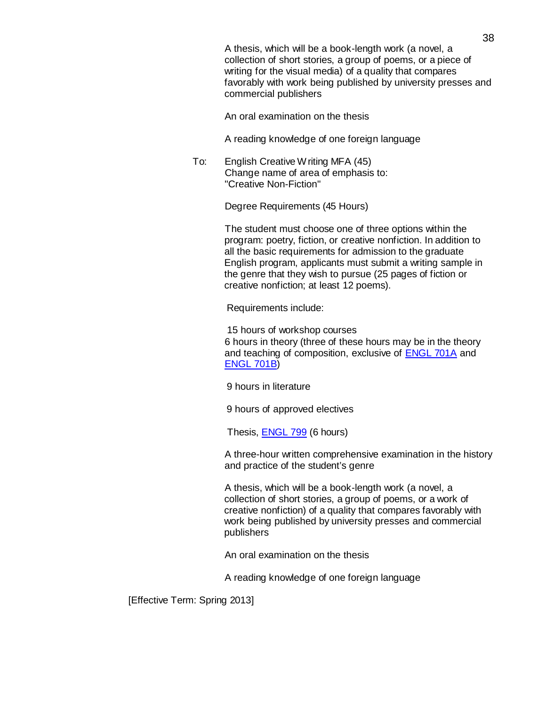A thesis, which will be a book-length work (a novel, a collection of short stories, a group of poems, or a piece of writing for the visual media) of a quality that compares favorably with work being published by university presses and commercial publishers

An oral examination on the thesis

A reading knowledge of one foreign language

To: English Creative Writing MFA (45) Change name of area of emphasis to: "Creative Non-Fiction"

Degree Requirements (45 Hours)

The student must choose one of three options within the program: poetry, fiction, or creative nonfiction. In addition to all the basic requirements for admission to the graduate English program, applicants must submit a writing sample in the genre that they wish to pursue (25 pages of fiction or creative nonfiction; at least 12 poems).

Requirements include:

15 hours of workshop courses 6 hours in theory (three of these hours may be in the theory and teaching of composition, exclusive of [ENGL](http://bulletin.sc.edu/preview_program.php?catoid=35&amp%3Bamp%3Bamp%3Bpoid=4041&amp%3Bamp%3Bamp%3Breturnto=3958&amp%3Bamp%3Bamp%3Btt304) 701A and [ENGL](http://bulletin.sc.edu/preview_program.php?catoid=35&amp%3Bamp%3Bamp%3Bpoid=4041&amp%3Bamp%3Bamp%3Breturnto=3958&amp%3Bamp%3Bamp%3Btt8912) 701B)

9 hours in literature

9 hours of approved electives

Thesis, [ENGL](http://bulletin.sc.edu/preview_program.php?catoid=35&amp%3Bamp%3Bamp%3Bpoid=4041&amp%3Bamp%3Bamp%3Breturnto=3958&amp%3Bamp%3Bamp%3Btt9385) 799 (6 hours)

A three-hour written comprehensive examination in the history and practice of the student's genre

A thesis, which will be a book-length work (a novel, a collection of short stories, a group of poems, or a work of creative nonfiction) of a quality that compares favorably with work being published by university presses and commercial publishers

An oral examination on the thesis

A reading knowledge of one foreign language

[Effective Term: Spring 2013]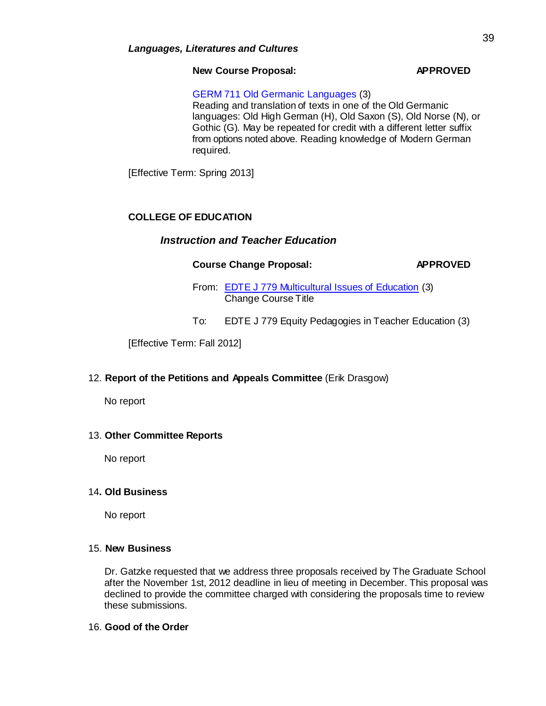# **New Course Proposal: APPROVED**

GERM 711 Old Germanic Languages (3) Reading and translation of texts in one of the Old Germanic languages: Old High German (H), Old Saxon (S), Old Norse (N), or Gothic (G). May be repeated for credit with a different letter suffix from options noted above. Reading knowledge of Modern German required.

[Effective Term: Spring 2013]

# **COLLEGE OF EDUCATION**

# *Instruction and Teacher Education*

# **Course Change Proposal: APPROVED**

From: EDTE J 779 [Multicultural Issues](http://gradschool.sc.edu/facstaff/gradcouncil/2012/EDTE%20J%20779%20Multicultural%20Issues%20of%20Education%20CCP_Redacted.pdf) of Education (3) Change Course Title

To: EDTE J 779 Equity Pedagogies in Teacher Education (3)

[Effective Term: Fall 2012]

# 12. **Report of the Petitions and Appeals Committee** (Erik Drasgow)

No report

# 13. **Other Committee Reports**

No report

# 14**. Old Business**

No report

# 15. **New Business**

Dr. Gatzke requested that we address three proposals received by The Graduate School after the November 1st, 2012 deadline in lieu of meeting in December. This proposal was declined to provide the committee charged with considering the proposals time to review these submissions.

# 16. **Good of the Order**